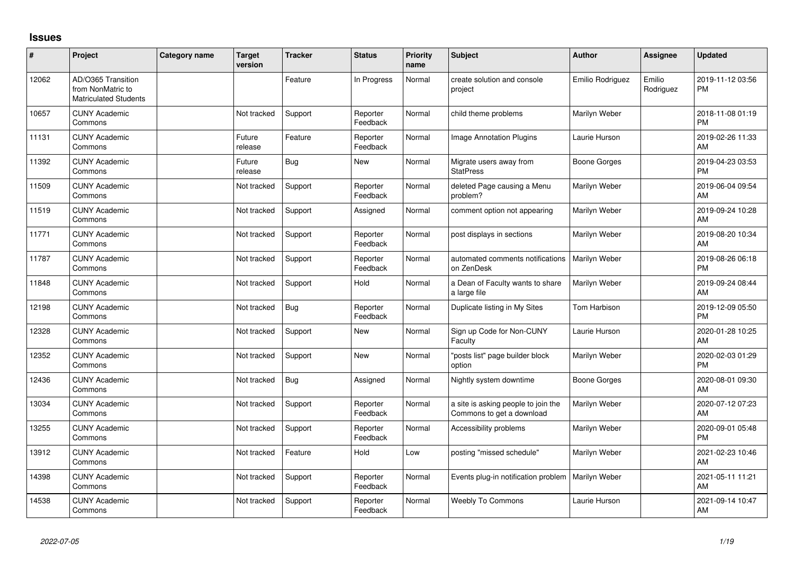## **Issues**

| ∦     | Project                                                                 | Category name | <b>Target</b><br>version | <b>Tracker</b> | <b>Status</b>        | Priority<br>name | <b>Subject</b>                                                   | <b>Author</b>    | Assignee            | <b>Updated</b>                |
|-------|-------------------------------------------------------------------------|---------------|--------------------------|----------------|----------------------|------------------|------------------------------------------------------------------|------------------|---------------------|-------------------------------|
| 12062 | AD/O365 Transition<br>from NonMatric to<br><b>Matriculated Students</b> |               |                          | Feature        | In Progress          | Normal           | create solution and console<br>project                           | Emilio Rodriguez | Emilio<br>Rodriguez | 2019-11-12 03:56<br><b>PM</b> |
| 10657 | <b>CUNY Academic</b><br>Commons                                         |               | Not tracked              | Support        | Reporter<br>Feedback | Normal           | child theme problems                                             | Marilyn Weber    |                     | 2018-11-08 01:19<br><b>PM</b> |
| 11131 | <b>CUNY Academic</b><br>Commons                                         |               | Future<br>release        | Feature        | Reporter<br>Feedback | Normal           | Image Annotation Plugins                                         | Laurie Hurson    |                     | 2019-02-26 11:33<br>AM        |
| 11392 | <b>CUNY Academic</b><br>Commons                                         |               | Future<br>release        | Bug            | <b>New</b>           | Normal           | Migrate users away from<br><b>StatPress</b>                      | Boone Gorges     |                     | 2019-04-23 03:53<br><b>PM</b> |
| 11509 | <b>CUNY Academic</b><br>Commons                                         |               | Not tracked              | Support        | Reporter<br>Feedback | Normal           | deleted Page causing a Menu<br>problem?                          | Marilyn Weber    |                     | 2019-06-04 09:54<br>AM        |
| 11519 | <b>CUNY Academic</b><br>Commons                                         |               | Not tracked              | Support        | Assigned             | Normal           | comment option not appearing                                     | Marilyn Weber    |                     | 2019-09-24 10:28<br>AM        |
| 11771 | <b>CUNY Academic</b><br>Commons                                         |               | Not tracked              | Support        | Reporter<br>Feedback | Normal           | post displays in sections                                        | Marilyn Weber    |                     | 2019-08-20 10:34<br>AM        |
| 11787 | <b>CUNY Academic</b><br>Commons                                         |               | Not tracked              | Support        | Reporter<br>Feedback | Normal           | automated comments notifications<br>on ZenDesk                   | Marilyn Weber    |                     | 2019-08-26 06:18<br><b>PM</b> |
| 11848 | <b>CUNY Academic</b><br>Commons                                         |               | Not tracked              | Support        | Hold                 | Normal           | a Dean of Faculty wants to share<br>a large file                 | Marilyn Weber    |                     | 2019-09-24 08:44<br>AM        |
| 12198 | <b>CUNY Academic</b><br>Commons                                         |               | Not tracked              | Bug            | Reporter<br>Feedback | Normal           | Duplicate listing in My Sites                                    | Tom Harbison     |                     | 2019-12-09 05:50<br><b>PM</b> |
| 12328 | <b>CUNY Academic</b><br>Commons                                         |               | Not tracked              | Support        | <b>New</b>           | Normal           | Sign up Code for Non-CUNY<br>Faculty                             | Laurie Hurson    |                     | 2020-01-28 10:25<br>AM        |
| 12352 | <b>CUNY Academic</b><br>Commons                                         |               | Not tracked              | Support        | <b>New</b>           | Normal           | "posts list" page builder block<br>option                        | Marilyn Weber    |                     | 2020-02-03 01:29<br><b>PM</b> |
| 12436 | <b>CUNY Academic</b><br>Commons                                         |               | Not tracked              | Bug            | Assigned             | Normal           | Nightly system downtime                                          | Boone Gorges     |                     | 2020-08-01 09:30<br>AM        |
| 13034 | <b>CUNY Academic</b><br>Commons                                         |               | Not tracked              | Support        | Reporter<br>Feedback | Normal           | a site is asking people to join the<br>Commons to get a download | Marilyn Weber    |                     | 2020-07-12 07:23<br>AM        |
| 13255 | <b>CUNY Academic</b><br>Commons                                         |               | Not tracked              | Support        | Reporter<br>Feedback | Normal           | Accessibility problems                                           | Marilyn Weber    |                     | 2020-09-01 05:48<br><b>PM</b> |
| 13912 | <b>CUNY Academic</b><br>Commons                                         |               | Not tracked              | Feature        | Hold                 | Low              | posting "missed schedule"                                        | Marilyn Weber    |                     | 2021-02-23 10:46<br>AM        |
| 14398 | <b>CUNY Academic</b><br>Commons                                         |               | Not tracked              | Support        | Reporter<br>Feedback | Normal           | Events plug-in notification problem                              | Marilyn Weber    |                     | 2021-05-11 11:21<br>AM        |
| 14538 | <b>CUNY Academic</b><br>Commons                                         |               | Not tracked              | Support        | Reporter<br>Feedback | Normal           | Weebly To Commons                                                | Laurie Hurson    |                     | 2021-09-14 10:47<br>AM        |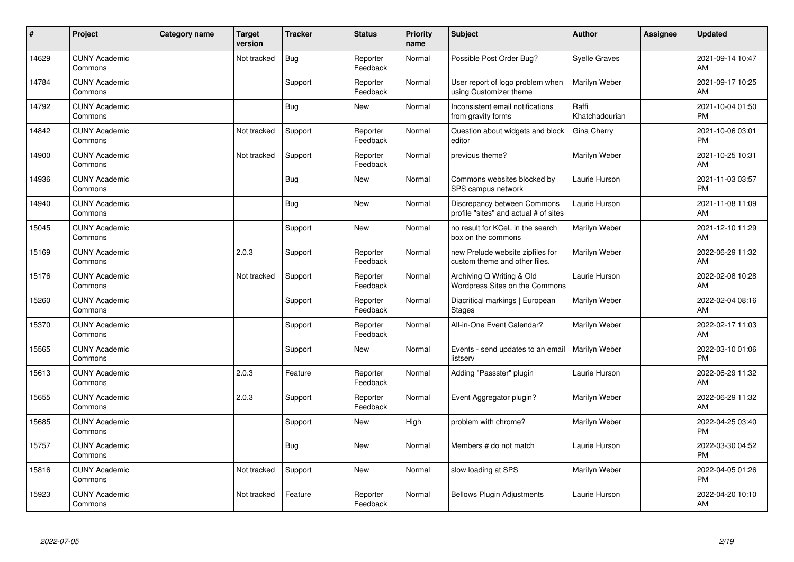| #     | Project                         | <b>Category name</b> | <b>Target</b><br>version | <b>Tracker</b> | <b>Status</b>        | <b>Priority</b><br>name | <b>Subject</b>                                                       | <b>Author</b>           | Assignee | <b>Updated</b>                |
|-------|---------------------------------|----------------------|--------------------------|----------------|----------------------|-------------------------|----------------------------------------------------------------------|-------------------------|----------|-------------------------------|
| 14629 | <b>CUNY Academic</b><br>Commons |                      | Not tracked              | Bug            | Reporter<br>Feedback | Normal                  | Possible Post Order Bug?                                             | <b>Syelle Graves</b>    |          | 2021-09-14 10:47<br>AM        |
| 14784 | <b>CUNY Academic</b><br>Commons |                      |                          | Support        | Reporter<br>Feedback | Normal                  | User report of logo problem when<br>using Customizer theme           | Marilyn Weber           |          | 2021-09-17 10:25<br>AM        |
| 14792 | <b>CUNY Academic</b><br>Commons |                      |                          | <b>Bug</b>     | <b>New</b>           | Normal                  | Inconsistent email notifications<br>from gravity forms               | Raffi<br>Khatchadourian |          | 2021-10-04 01:50<br><b>PM</b> |
| 14842 | <b>CUNY Academic</b><br>Commons |                      | Not tracked              | Support        | Reporter<br>Feedback | Normal                  | Question about widgets and block<br>editor                           | Gina Cherry             |          | 2021-10-06 03:01<br><b>PM</b> |
| 14900 | <b>CUNY Academic</b><br>Commons |                      | Not tracked              | Support        | Reporter<br>Feedback | Normal                  | previous theme?                                                      | Marilyn Weber           |          | 2021-10-25 10:31<br>AM        |
| 14936 | <b>CUNY Academic</b><br>Commons |                      |                          | <b>Bug</b>     | <b>New</b>           | Normal                  | Commons websites blocked by<br>SPS campus network                    | Laurie Hurson           |          | 2021-11-03 03:57<br><b>PM</b> |
| 14940 | <b>CUNY Academic</b><br>Commons |                      |                          | Bug            | <b>New</b>           | Normal                  | Discrepancy between Commons<br>profile "sites" and actual # of sites | Laurie Hurson           |          | 2021-11-08 11:09<br>AM        |
| 15045 | <b>CUNY Academic</b><br>Commons |                      |                          | Support        | <b>New</b>           | Normal                  | no result for KCeL in the search<br>box on the commons               | Marilyn Weber           |          | 2021-12-10 11:29<br>AM        |
| 15169 | <b>CUNY Academic</b><br>Commons |                      | 2.0.3                    | Support        | Reporter<br>Feedback | Normal                  | new Prelude website zipfiles for<br>custom theme and other files.    | Marilyn Weber           |          | 2022-06-29 11:32<br>AM        |
| 15176 | <b>CUNY Academic</b><br>Commons |                      | Not tracked              | Support        | Reporter<br>Feedback | Normal                  | Archiving Q Writing & Old<br>Wordpress Sites on the Commons          | Laurie Hurson           |          | 2022-02-08 10:28<br>AM        |
| 15260 | <b>CUNY Academic</b><br>Commons |                      |                          | Support        | Reporter<br>Feedback | Normal                  | Diacritical markings   European<br><b>Stages</b>                     | Marilyn Weber           |          | 2022-02-04 08:16<br>AM        |
| 15370 | <b>CUNY Academic</b><br>Commons |                      |                          | Support        | Reporter<br>Feedback | Normal                  | All-in-One Event Calendar?                                           | Marilyn Weber           |          | 2022-02-17 11:03<br>AM        |
| 15565 | <b>CUNY Academic</b><br>Commons |                      |                          | Support        | <b>New</b>           | Normal                  | Events - send updates to an email<br>listserv                        | Marilyn Weber           |          | 2022-03-10 01:06<br><b>PM</b> |
| 15613 | <b>CUNY Academic</b><br>Commons |                      | 2.0.3                    | Feature        | Reporter<br>Feedback | Normal                  | Adding "Passster" plugin                                             | Laurie Hurson           |          | 2022-06-29 11:32<br>AM        |
| 15655 | <b>CUNY Academic</b><br>Commons |                      | 2.0.3                    | Support        | Reporter<br>Feedback | Normal                  | Event Aggregator plugin?                                             | Marilyn Weber           |          | 2022-06-29 11:32<br>AM        |
| 15685 | <b>CUNY Academic</b><br>Commons |                      |                          | Support        | <b>New</b>           | High                    | problem with chrome?                                                 | Marilyn Weber           |          | 2022-04-25 03:40<br><b>PM</b> |
| 15757 | <b>CUNY Academic</b><br>Commons |                      |                          | Bug            | <b>New</b>           | Normal                  | Members # do not match                                               | Laurie Hurson           |          | 2022-03-30 04:52<br><b>PM</b> |
| 15816 | <b>CUNY Academic</b><br>Commons |                      | Not tracked              | Support        | <b>New</b>           | Normal                  | slow loading at SPS                                                  | Marilyn Weber           |          | 2022-04-05 01:26<br><b>PM</b> |
| 15923 | <b>CUNY Academic</b><br>Commons |                      | Not tracked              | Feature        | Reporter<br>Feedback | Normal                  | <b>Bellows Plugin Adjustments</b>                                    | Laurie Hurson           |          | 2022-04-20 10:10<br>AM        |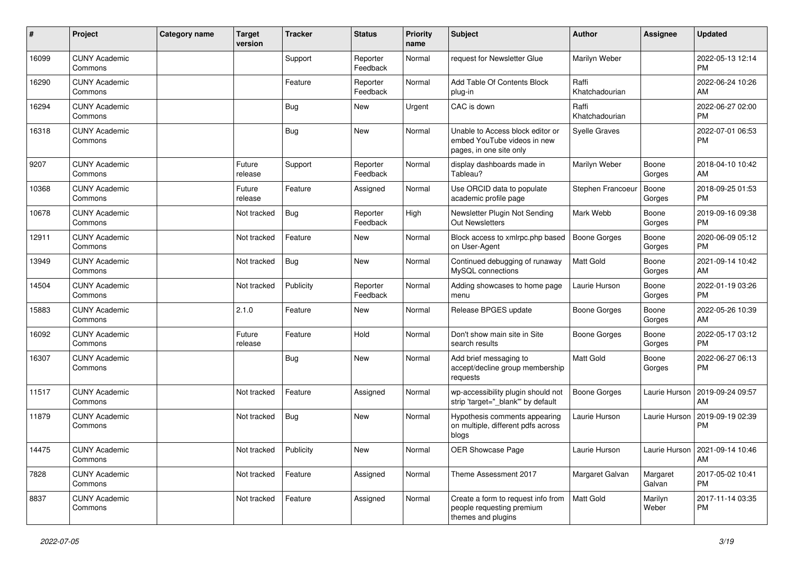| #     | Project                         | Category name | <b>Target</b><br>version | <b>Tracker</b> | <b>Status</b>        | Priority<br>name | <b>Subject</b>                                                                             | <b>Author</b>           | <b>Assignee</b>    | <b>Updated</b>                         |
|-------|---------------------------------|---------------|--------------------------|----------------|----------------------|------------------|--------------------------------------------------------------------------------------------|-------------------------|--------------------|----------------------------------------|
| 16099 | <b>CUNY Academic</b><br>Commons |               |                          | Support        | Reporter<br>Feedback | Normal           | request for Newsletter Glue                                                                | Marilyn Weber           |                    | 2022-05-13 12:14<br>PM                 |
| 16290 | <b>CUNY Academic</b><br>Commons |               |                          | Feature        | Reporter<br>Feedback | Normal           | Add Table Of Contents Block<br>plug-in                                                     | Raffi<br>Khatchadourian |                    | 2022-06-24 10:26<br>AM                 |
| 16294 | <b>CUNY Academic</b><br>Commons |               |                          | Bug            | New                  | Urgent           | CAC is down                                                                                | Raffi<br>Khatchadourian |                    | 2022-06-27 02:00<br><b>PM</b>          |
| 16318 | <b>CUNY Academic</b><br>Commons |               |                          | Bug            | <b>New</b>           | Normal           | Unable to Access block editor or<br>embed YouTube videos in new<br>pages, in one site only | <b>Syelle Graves</b>    |                    | 2022-07-01 06:53<br><b>PM</b>          |
| 9207  | <b>CUNY Academic</b><br>Commons |               | Future<br>release        | Support        | Reporter<br>Feedback | Normal           | display dashboards made in<br>Tableau?                                                     | Marilyn Weber           | Boone<br>Gorges    | 2018-04-10 10:42<br>AM                 |
| 10368 | <b>CUNY Academic</b><br>Commons |               | Future<br>release        | Feature        | Assigned             | Normal           | Use ORCID data to populate<br>academic profile page                                        | Stephen Francoeu        | Boone<br>Gorges    | 2018-09-25 01:53<br><b>PM</b>          |
| 10678 | <b>CUNY Academic</b><br>Commons |               | Not tracked              | Bug            | Reporter<br>Feedback | High             | Newsletter Plugin Not Sending<br>Out Newsletters                                           | Mark Webb               | Boone<br>Gorges    | 2019-09-16 09:38<br><b>PM</b>          |
| 12911 | <b>CUNY Academic</b><br>Commons |               | Not tracked              | Feature        | New                  | Normal           | Block access to xmlrpc.php based<br>on User-Agent                                          | <b>Boone Gorges</b>     | Boone<br>Gorges    | 2020-06-09 05:12<br><b>PM</b>          |
| 13949 | <b>CUNY Academic</b><br>Commons |               | Not tracked              | Bug            | <b>New</b>           | Normal           | Continued debugging of runaway<br>MySQL connections                                        | <b>Matt Gold</b>        | Boone<br>Gorges    | 2021-09-14 10:42<br>AM                 |
| 14504 | <b>CUNY Academic</b><br>Commons |               | Not tracked              | Publicity      | Reporter<br>Feedback | Normal           | Adding showcases to home page<br>menu                                                      | Laurie Hurson           | Boone<br>Gorges    | 2022-01-19 03:26<br><b>PM</b>          |
| 15883 | <b>CUNY Academic</b><br>Commons |               | 2.1.0                    | Feature        | <b>New</b>           | Normal           | Release BPGES update                                                                       | Boone Gorges            | Boone<br>Gorges    | 2022-05-26 10:39<br>AM                 |
| 16092 | <b>CUNY Academic</b><br>Commons |               | Future<br>release        | Feature        | Hold                 | Normal           | Don't show main site in Site<br>search results                                             | Boone Gorges            | Boone<br>Gorges    | 2022-05-17 03:12<br><b>PM</b>          |
| 16307 | <b>CUNY Academic</b><br>Commons |               |                          | <b>Bug</b>     | <b>New</b>           | Normal           | Add brief messaging to<br>accept/decline group membership<br>requests                      | <b>Matt Gold</b>        | Boone<br>Gorges    | 2022-06-27 06:13<br>PM                 |
| 11517 | <b>CUNY Academic</b><br>Commons |               | Not tracked              | Feature        | Assigned             | Normal           | wp-accessibility plugin should not<br>strip 'target=" blank" by default                    | <b>Boone Gorges</b>     | Laurie Hurson      | 2019-09-24 09:57<br>AM                 |
| 11879 | <b>CUNY Academic</b><br>Commons |               | Not tracked              | Bug            | New                  | Normal           | Hypothesis comments appearing<br>on multiple, different pdfs across<br>blogs               | Laurie Hurson           | Laurie Hurson      | 2019-09-19 02:39<br><b>PM</b>          |
| 14475 | <b>CUNY Academic</b><br>Commons |               | Not tracked Publicity    |                | New                  | Normal           | OER Showcase Page                                                                          | Laurie Hurson           |                    | Laurie Hurson   2021-09-14 10:46<br>AM |
| 7828  | <b>CUNY Academic</b><br>Commons |               | Not tracked              | Feature        | Assigned             | Normal           | Theme Assessment 2017                                                                      | Margaret Galvan         | Margaret<br>Galvan | 2017-05-02 10:41<br><b>PM</b>          |
| 8837  | <b>CUNY Academic</b><br>Commons |               | Not tracked              | Feature        | Assigned             | Normal           | Create a form to request info from<br>people requesting premium<br>themes and plugins      | Matt Gold               | Marilyn<br>Weber   | 2017-11-14 03:35<br><b>PM</b>          |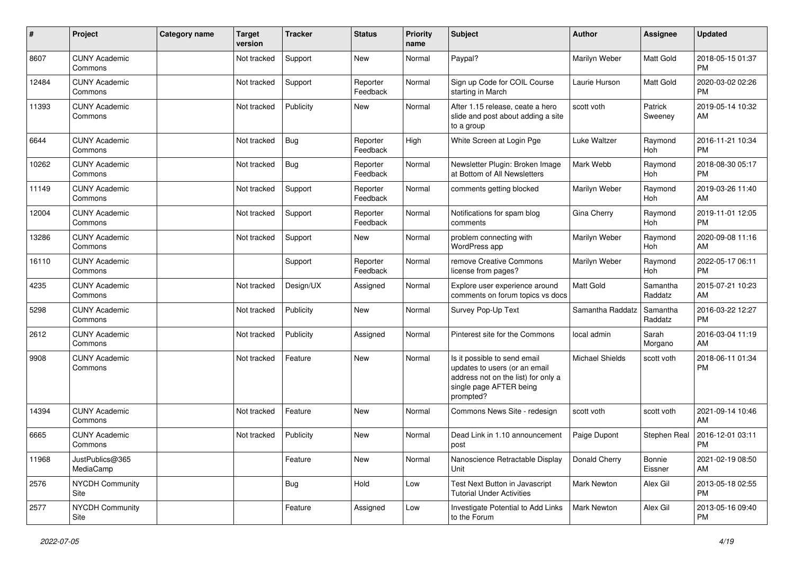| ∦     | Project                         | Category name | <b>Target</b><br>version | <b>Tracker</b> | <b>Status</b>        | <b>Priority</b><br>name | Subject                                                                                                                                      | <b>Author</b>    | <b>Assignee</b>     | <b>Updated</b>                |
|-------|---------------------------------|---------------|--------------------------|----------------|----------------------|-------------------------|----------------------------------------------------------------------------------------------------------------------------------------------|------------------|---------------------|-------------------------------|
| 8607  | <b>CUNY Academic</b><br>Commons |               | Not tracked              | Support        | <b>New</b>           | Normal                  | Paypal?                                                                                                                                      | Marilyn Weber    | Matt Gold           | 2018-05-15 01:37<br><b>PM</b> |
| 12484 | <b>CUNY Academic</b><br>Commons |               | Not tracked              | Support        | Reporter<br>Feedback | Normal                  | Sign up Code for COIL Course<br>starting in March                                                                                            | Laurie Hurson    | Matt Gold           | 2020-03-02 02:26<br><b>PM</b> |
| 11393 | <b>CUNY Academic</b><br>Commons |               | Not tracked              | Publicity      | <b>New</b>           | Normal                  | After 1.15 release, ceate a hero<br>slide and post about adding a site<br>to a group                                                         | scott voth       | Patrick<br>Sweeney  | 2019-05-14 10:32<br>AM        |
| 6644  | <b>CUNY Academic</b><br>Commons |               | Not tracked              | Bug            | Reporter<br>Feedback | High                    | White Screen at Login Pge                                                                                                                    | Luke Waltzer     | Raymond<br>Hoh      | 2016-11-21 10:34<br><b>PM</b> |
| 10262 | <b>CUNY Academic</b><br>Commons |               | Not tracked              | Bug            | Reporter<br>Feedback | Normal                  | Newsletter Plugin: Broken Image<br>at Bottom of All Newsletters                                                                              | Mark Webb        | Raymond<br>Hoh      | 2018-08-30 05:17<br><b>PM</b> |
| 11149 | <b>CUNY Academic</b><br>Commons |               | Not tracked              | Support        | Reporter<br>Feedback | Normal                  | comments getting blocked                                                                                                                     | Marilyn Weber    | Raymond<br>Hoh      | 2019-03-26 11:40<br>AM        |
| 12004 | <b>CUNY Academic</b><br>Commons |               | Not tracked              | Support        | Reporter<br>Feedback | Normal                  | Notifications for spam blog<br>comments                                                                                                      | Gina Cherry      | Raymond<br>Hoh      | 2019-11-01 12:05<br><b>PM</b> |
| 13286 | <b>CUNY Academic</b><br>Commons |               | Not tracked              | Support        | New                  | Normal                  | problem connecting with<br>WordPress app                                                                                                     | Marilyn Weber    | Raymond<br>Hoh      | 2020-09-08 11:16<br>AM        |
| 16110 | <b>CUNY Academic</b><br>Commons |               |                          | Support        | Reporter<br>Feedback | Normal                  | remove Creative Commons<br>license from pages?                                                                                               | Marilyn Weber    | Raymond<br>Hoh      | 2022-05-17 06:11<br><b>PM</b> |
| 4235  | <b>CUNY Academic</b><br>Commons |               | Not tracked              | Design/UX      | Assigned             | Normal                  | Explore user experience around<br>comments on forum topics vs docs                                                                           | Matt Gold        | Samantha<br>Raddatz | 2015-07-21 10:23<br>AM        |
| 5298  | <b>CUNY Academic</b><br>Commons |               | Not tracked              | Publicity      | <b>New</b>           | Normal                  | Survey Pop-Up Text                                                                                                                           | Samantha Raddatz | Samantha<br>Raddatz | 2016-03-22 12:27<br><b>PM</b> |
| 2612  | <b>CUNY Academic</b><br>Commons |               | Not tracked              | Publicity      | Assigned             | Normal                  | Pinterest site for the Commons                                                                                                               | local admin      | Sarah<br>Morgano    | 2016-03-04 11:19<br>AM        |
| 9908  | <b>CUNY Academic</b><br>Commons |               | Not tracked              | Feature        | <b>New</b>           | Normal                  | Is it possible to send email<br>updates to users (or an email<br>address not on the list) for only a<br>single page AFTER being<br>prompted? | Michael Shields  | scott voth          | 2018-06-11 01:34<br><b>PM</b> |
| 14394 | <b>CUNY Academic</b><br>Commons |               | Not tracked              | Feature        | New                  | Normal                  | Commons News Site - redesign                                                                                                                 | scott voth       | scott voth          | 2021-09-14 10:46<br>AM        |
| 6665  | <b>CUNY Academic</b><br>Commons |               | Not tracked              | Publicity      | <b>New</b>           | Normal                  | Dead Link in 1.10 announcement<br>post                                                                                                       | Paige Dupont     | Stephen Real        | 2016-12-01 03:11<br><b>PM</b> |
| 11968 | JustPublics@365<br>MediaCamp    |               |                          | Feature        | New                  | Normal                  | Nanoscience Retractable Display<br>Unit                                                                                                      | Donald Cherry    | Bonnie<br>Eissner   | 2021-02-19 08:50<br>AM        |
| 2576  | <b>NYCDH Community</b><br>Site  |               |                          | <b>Bug</b>     | Hold                 | Low                     | Test Next Button in Javascript<br><b>Tutorial Under Activities</b>                                                                           | Mark Newton      | Alex Gil            | 2013-05-18 02:55<br><b>PM</b> |
| 2577  | NYCDH Community<br>Site         |               |                          | Feature        | Assigned             | Low                     | Investigate Potential to Add Links<br>to the Forum                                                                                           | Mark Newton      | Alex Gil            | 2013-05-16 09:40<br><b>PM</b> |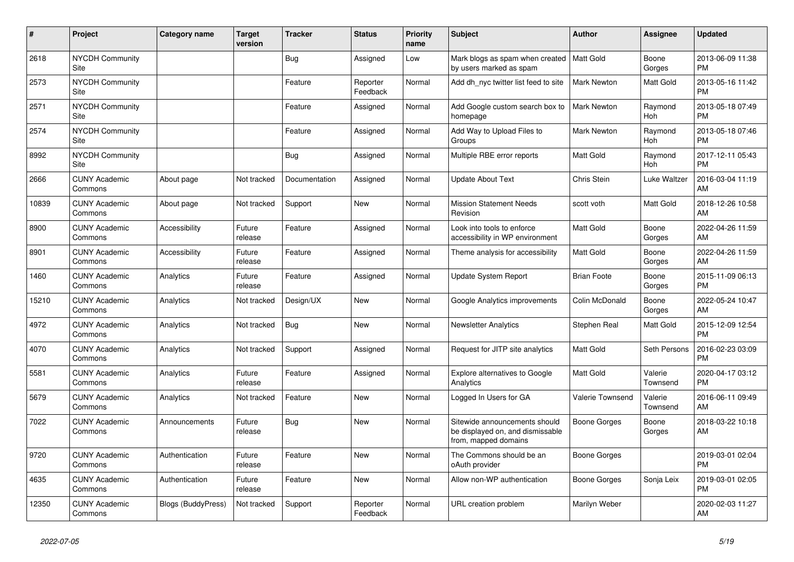| #     | Project                         | <b>Category name</b> | <b>Target</b><br>version | <b>Tracker</b> | <b>Status</b>        | <b>Priority</b><br>name | <b>Subject</b>                                                                            | <b>Author</b>      | <b>Assignee</b>       | <b>Updated</b>                |
|-------|---------------------------------|----------------------|--------------------------|----------------|----------------------|-------------------------|-------------------------------------------------------------------------------------------|--------------------|-----------------------|-------------------------------|
| 2618  | <b>NYCDH Community</b><br>Site  |                      |                          | <b>Bug</b>     | Assigned             | Low                     | Mark blogs as spam when created   Matt Gold<br>by users marked as spam                    |                    | Boone<br>Gorges       | 2013-06-09 11:38<br><b>PM</b> |
| 2573  | <b>NYCDH Community</b><br>Site  |                      |                          | Feature        | Reporter<br>Feedback | Normal                  | Add dh_nyc twitter list feed to site                                                      | Mark Newton        | Matt Gold             | 2013-05-16 11:42<br><b>PM</b> |
| 2571  | <b>NYCDH Community</b><br>Site  |                      |                          | Feature        | Assigned             | Normal                  | Add Google custom search box to<br>homepage                                               | <b>Mark Newton</b> | Raymond<br><b>Hoh</b> | 2013-05-18 07:49<br><b>PM</b> |
| 2574  | <b>NYCDH Community</b><br>Site  |                      |                          | Feature        | Assigned             | Normal                  | Add Way to Upload Files to<br>Groups                                                      | <b>Mark Newton</b> | Raymond<br>Hoh        | 2013-05-18 07:46<br><b>PM</b> |
| 8992  | <b>NYCDH Community</b><br>Site  |                      |                          | Bug            | Assigned             | Normal                  | Multiple RBE error reports                                                                | Matt Gold          | Raymond<br>Hoh        | 2017-12-11 05:43<br><b>PM</b> |
| 2666  | <b>CUNY Academic</b><br>Commons | About page           | Not tracked              | Documentation  | Assigned             | Normal                  | <b>Update About Text</b>                                                                  | Chris Stein        | Luke Waltzer          | 2016-03-04 11:19<br>AM        |
| 10839 | <b>CUNY Academic</b><br>Commons | About page           | Not tracked              | Support        | <b>New</b>           | Normal                  | <b>Mission Statement Needs</b><br>Revision                                                | scott voth         | Matt Gold             | 2018-12-26 10:58<br>AM        |
| 8900  | <b>CUNY Academic</b><br>Commons | Accessibility        | Future<br>release        | Feature        | Assigned             | Normal                  | Look into tools to enforce<br>accessibility in WP environment                             | <b>Matt Gold</b>   | Boone<br>Gorges       | 2022-04-26 11:59<br>AM        |
| 8901  | <b>CUNY Academic</b><br>Commons | Accessibility        | Future<br>release        | Feature        | Assigned             | Normal                  | Theme analysis for accessibility                                                          | <b>Matt Gold</b>   | Boone<br>Gorges       | 2022-04-26 11:59<br>AM        |
| 1460  | <b>CUNY Academic</b><br>Commons | Analytics            | Future<br>release        | Feature        | Assigned             | Normal                  | Update System Report                                                                      | <b>Brian Foote</b> | Boone<br>Gorges       | 2015-11-09 06:13<br><b>PM</b> |
| 15210 | <b>CUNY Academic</b><br>Commons | Analytics            | Not tracked              | Design/UX      | <b>New</b>           | Normal                  | Google Analytics improvements                                                             | Colin McDonald     | Boone<br>Gorges       | 2022-05-24 10:47<br>AM        |
| 4972  | <b>CUNY Academic</b><br>Commons | Analytics            | Not tracked              | Bug            | <b>New</b>           | Normal                  | <b>Newsletter Analytics</b>                                                               | Stephen Real       | Matt Gold             | 2015-12-09 12:54<br><b>PM</b> |
| 4070  | <b>CUNY Academic</b><br>Commons | Analytics            | Not tracked              | Support        | Assigned             | Normal                  | Request for JITP site analytics                                                           | Matt Gold          | Seth Persons          | 2016-02-23 03:09<br><b>PM</b> |
| 5581  | <b>CUNY Academic</b><br>Commons | Analytics            | Future<br>release        | Feature        | Assigned             | Normal                  | Explore alternatives to Google<br>Analytics                                               | <b>Matt Gold</b>   | Valerie<br>Townsend   | 2020-04-17 03:12<br><b>PM</b> |
| 5679  | <b>CUNY Academic</b><br>Commons | Analytics            | Not tracked              | Feature        | <b>New</b>           | Normal                  | Logged In Users for GA                                                                    | Valerie Townsend   | Valerie<br>Townsend   | 2016-06-11 09:49<br>AM        |
| 7022  | <b>CUNY Academic</b><br>Commons | Announcements        | Future<br>release        | Bug            | New                  | Normal                  | Sitewide announcements should<br>be displayed on, and dismissable<br>from, mapped domains | Boone Gorges       | Boone<br>Gorges       | 2018-03-22 10:18<br>AM        |
| 9720  | <b>CUNY Academic</b><br>Commons | Authentication       | Future<br>release        | Feature        | <b>New</b>           | Normal                  | The Commons should be an<br>oAuth provider                                                | Boone Gorges       |                       | 2019-03-01 02:04<br><b>PM</b> |
| 4635  | <b>CUNY Academic</b><br>Commons | Authentication       | Future<br>release        | Feature        | New                  | Normal                  | Allow non-WP authentication                                                               | Boone Gorges       | Sonja Leix            | 2019-03-01 02:05<br><b>PM</b> |
| 12350 | <b>CUNY Academic</b><br>Commons | Blogs (BuddyPress)   | Not tracked              | Support        | Reporter<br>Feedback | Normal                  | URL creation problem                                                                      | Marilyn Weber      |                       | 2020-02-03 11:27<br>AM        |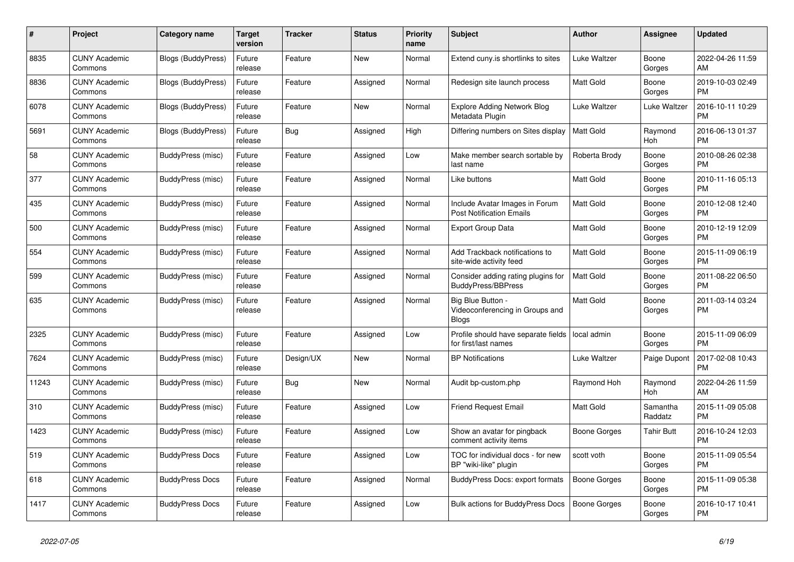| #     | <b>Project</b>                  | Category name             | Target<br>version | <b>Tracker</b> | <b>Status</b> | Priority<br>name | <b>Subject</b>                                                       | <b>Author</b>       | Assignee            | <b>Updated</b>                |
|-------|---------------------------------|---------------------------|-------------------|----------------|---------------|------------------|----------------------------------------------------------------------|---------------------|---------------------|-------------------------------|
| 8835  | <b>CUNY Academic</b><br>Commons | Blogs (BuddyPress)        | Future<br>release | Feature        | New           | Normal           | Extend cuny.is shortlinks to sites                                   | Luke Waltzer        | Boone<br>Gorges     | 2022-04-26 11:59<br>AM.       |
| 8836  | <b>CUNY Academic</b><br>Commons | <b>Blogs (BuddyPress)</b> | Future<br>release | Feature        | Assigned      | Normal           | Redesign site launch process                                         | Matt Gold           | Boone<br>Gorges     | 2019-10-03 02:49<br>PM.       |
| 6078  | <b>CUNY Academic</b><br>Commons | Blogs (BuddyPress)        | Future<br>release | Feature        | New           | Normal           | <b>Explore Adding Network Blog</b><br>Metadata Plugin                | Luke Waltzer        | Luke Waltzer        | 2016-10-11 10:29<br><b>PM</b> |
| 5691  | <b>CUNY Academic</b><br>Commons | Blogs (BuddyPress)        | Future<br>release | Bug            | Assigned      | High             | Differing numbers on Sites display                                   | <b>Matt Gold</b>    | Raymond<br>Hoh      | 2016-06-13 01:37<br><b>PM</b> |
| 58    | <b>CUNY Academic</b><br>Commons | BuddyPress (misc)         | Future<br>release | Feature        | Assigned      | Low              | Make member search sortable by<br>last name                          | Roberta Brody       | Boone<br>Gorges     | 2010-08-26 02:38<br><b>PM</b> |
| 377   | <b>CUNY Academic</b><br>Commons | BuddyPress (misc)         | Future<br>release | Feature        | Assigned      | Normal           | Like buttons                                                         | Matt Gold           | Boone<br>Gorges     | 2010-11-16 05:13<br><b>PM</b> |
| 435   | <b>CUNY Academic</b><br>Commons | BuddyPress (misc)         | Future<br>release | Feature        | Assigned      | Normal           | Include Avatar Images in Forum<br><b>Post Notification Emails</b>    | <b>Matt Gold</b>    | Boone<br>Gorges     | 2010-12-08 12:40<br><b>PM</b> |
| 500   | <b>CUNY Academic</b><br>Commons | BuddyPress (misc)         | Future<br>release | Feature        | Assigned      | Normal           | <b>Export Group Data</b>                                             | <b>Matt Gold</b>    | Boone<br>Gorges     | 2010-12-19 12:09<br>PM        |
| 554   | <b>CUNY Academic</b><br>Commons | BuddyPress (misc)         | Future<br>release | Feature        | Assigned      | Normal           | Add Trackback notifications to<br>site-wide activity feed            | Matt Gold           | Boone<br>Gorges     | 2015-11-09 06:19<br><b>PM</b> |
| 599   | <b>CUNY Academic</b><br>Commons | BuddyPress (misc)         | Future<br>release | Feature        | Assigned      | Normal           | Consider adding rating plugins for<br><b>BuddyPress/BBPress</b>      | Matt Gold           | Boone<br>Gorges     | 2011-08-22 06:50<br><b>PM</b> |
| 635   | <b>CUNY Academic</b><br>Commons | BuddyPress (misc)         | Future<br>release | Feature        | Assigned      | Normal           | Big Blue Button -<br>Videoconferencing in Groups and<br><b>Blogs</b> | <b>Matt Gold</b>    | Boone<br>Gorges     | 2011-03-14 03:24<br>PM        |
| 2325  | <b>CUNY Academic</b><br>Commons | BuddyPress (misc)         | Future<br>release | Feature        | Assigned      | Low              | Profile should have separate fields<br>for first/last names          | local admin         | Boone<br>Gorges     | 2015-11-09 06:09<br><b>PM</b> |
| 7624  | <b>CUNY Academic</b><br>Commons | BuddyPress (misc)         | Future<br>release | Design/UX      | New           | Normal           | <b>BP Notifications</b>                                              | Luke Waltzer        | Paige Dupont        | 2017-02-08 10:43<br><b>PM</b> |
| 11243 | <b>CUNY Academic</b><br>Commons | BuddyPress (misc)         | Future<br>release | <b>Bug</b>     | <b>New</b>    | Normal           | Audit bp-custom.php                                                  | Raymond Hoh         | Raymond<br>Hoh      | 2022-04-26 11:59<br>AM        |
| 310   | <b>CUNY Academic</b><br>Commons | BuddyPress (misc)         | Future<br>release | Feature        | Assigned      | Low              | <b>Friend Request Email</b>                                          | Matt Gold           | Samantha<br>Raddatz | 2015-11-09 05:08<br><b>PM</b> |
| 1423  | <b>CUNY Academic</b><br>Commons | BuddyPress (misc)         | Future<br>release | Feature        | Assigned      | Low              | Show an avatar for pingback<br>comment activity items                | Boone Gorges        | Tahir Butt          | 2016-10-24 12:03<br><b>PM</b> |
| 519   | <b>CUNY Academic</b><br>Commons | <b>BuddyPress Docs</b>    | Future<br>release | Feature        | Assigned      | Low              | TOC for individual docs - for new<br>BP "wiki-like" plugin           | scott voth          | Boone<br>Gorges     | 2015-11-09 05:54<br><b>PM</b> |
| 618   | <b>CUNY Academic</b><br>Commons | <b>BuddyPress Docs</b>    | Future<br>release | Feature        | Assigned      | Normal           | BuddyPress Docs: export formats                                      | Boone Gorges        | Boone<br>Gorges     | 2015-11-09 05:38<br><b>PM</b> |
| 1417  | <b>CUNY Academic</b><br>Commons | <b>BuddyPress Docs</b>    | Future<br>release | Feature        | Assigned      | Low              | <b>Bulk actions for BuddyPress Docs</b>                              | <b>Boone Gorges</b> | Boone<br>Gorges     | 2016-10-17 10:41<br>PM.       |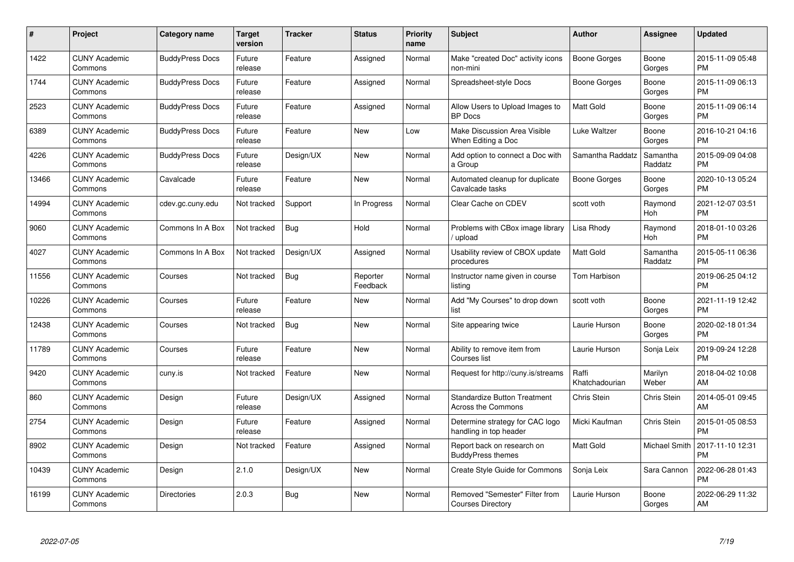| #     | Project                         | <b>Category name</b>   | Target<br>version | <b>Tracker</b> | <b>Status</b>        | Priority<br>name | <b>Subject</b>                                                   | <b>Author</b>           | <b>Assignee</b>     | <b>Updated</b>                |
|-------|---------------------------------|------------------------|-------------------|----------------|----------------------|------------------|------------------------------------------------------------------|-------------------------|---------------------|-------------------------------|
| 1422  | <b>CUNY Academic</b><br>Commons | <b>BuddyPress Docs</b> | Future<br>release | Feature        | Assigned             | Normal           | Make "created Doc" activity icons<br>non-mini                    | Boone Gorges            | Boone<br>Gorges     | 2015-11-09 05:48<br><b>PM</b> |
| 1744  | <b>CUNY Academic</b><br>Commons | <b>BuddyPress Docs</b> | Future<br>release | Feature        | Assigned             | Normal           | Spreadsheet-style Docs                                           | Boone Gorges            | Boone<br>Gorges     | 2015-11-09 06:13<br><b>PM</b> |
| 2523  | <b>CUNY Academic</b><br>Commons | <b>BuddyPress Docs</b> | Future<br>release | Feature        | Assigned             | Normal           | Allow Users to Upload Images to<br><b>BP</b> Docs                | Matt Gold               | Boone<br>Gorges     | 2015-11-09 06:14<br><b>PM</b> |
| 6389  | <b>CUNY Academic</b><br>Commons | <b>BuddyPress Docs</b> | Future<br>release | Feature        | <b>New</b>           | Low              | <b>Make Discussion Area Visible</b><br>When Editing a Doc        | Luke Waltzer            | Boone<br>Gorges     | 2016-10-21 04:16<br><b>PM</b> |
| 4226  | <b>CUNY Academic</b><br>Commons | <b>BuddyPress Docs</b> | Future<br>release | Design/UX      | <b>New</b>           | Normal           | Add option to connect a Doc with<br>a Group                      | Samantha Raddatz        | Samantha<br>Raddatz | 2015-09-09 04:08<br><b>PM</b> |
| 13466 | <b>CUNY Academic</b><br>Commons | Cavalcade              | Future<br>release | Feature        | <b>New</b>           | Normal           | Automated cleanup for duplicate<br>Cavalcade tasks               | <b>Boone Gorges</b>     | Boone<br>Gorges     | 2020-10-13 05:24<br><b>PM</b> |
| 14994 | <b>CUNY Academic</b><br>Commons | cdev.gc.cuny.edu       | Not tracked       | Support        | In Progress          | Normal           | Clear Cache on CDEV                                              | scott voth              | Raymond<br>Hoh      | 2021-12-07 03:51<br><b>PM</b> |
| 9060  | <b>CUNY Academic</b><br>Commons | Commons In A Box       | Not tracked       | Bug            | Hold                 | Normal           | Problems with CBox image library<br>/ upload                     | Lisa Rhody              | Raymond<br>Hoh      | 2018-01-10 03:26<br><b>PM</b> |
| 4027  | <b>CUNY Academic</b><br>Commons | Commons In A Box       | Not tracked       | Design/UX      | Assigned             | Normal           | Usability review of CBOX update<br>procedures                    | <b>Matt Gold</b>        | Samantha<br>Raddatz | 2015-05-11 06:36<br><b>PM</b> |
| 11556 | <b>CUNY Academic</b><br>Commons | Courses                | Not tracked       | <b>Bug</b>     | Reporter<br>Feedback | Normal           | Instructor name given in course<br>listing                       | Tom Harbison            |                     | 2019-06-25 04:12<br>PM        |
| 10226 | <b>CUNY Academic</b><br>Commons | Courses                | Future<br>release | Feature        | New                  | Normal           | Add "My Courses" to drop down<br>list                            | scott voth              | Boone<br>Gorges     | 2021-11-19 12:42<br><b>PM</b> |
| 12438 | <b>CUNY Academic</b><br>Commons | Courses                | Not tracked       | <b>Bug</b>     | <b>New</b>           | Normal           | Site appearing twice                                             | Laurie Hurson           | Boone<br>Gorges     | 2020-02-18 01:34<br><b>PM</b> |
| 11789 | <b>CUNY Academic</b><br>Commons | Courses                | Future<br>release | Feature        | <b>New</b>           | Normal           | Ability to remove item from<br>Courses list                      | Laurie Hurson           | Sonja Leix          | 2019-09-24 12:28<br><b>PM</b> |
| 9420  | <b>CUNY Academic</b><br>Commons | cuny.is                | Not tracked       | Feature        | <b>New</b>           | Normal           | Request for http://cuny.is/streams                               | Raffi<br>Khatchadourian | Marilyn<br>Weber    | 2018-04-02 10:08<br>AM.       |
| 860   | <b>CUNY Academic</b><br>Commons | Design                 | Future<br>release | Design/UX      | Assigned             | Normal           | <b>Standardize Button Treatment</b><br><b>Across the Commons</b> | Chris Stein             | Chris Stein         | 2014-05-01 09:45<br>AM        |
| 2754  | <b>CUNY Academic</b><br>Commons | Design                 | Future<br>release | Feature        | Assigned             | Normal           | Determine strategy for CAC logo<br>handling in top header        | Micki Kaufman           | Chris Stein         | 2015-01-05 08:53<br><b>PM</b> |
| 8902  | <b>CUNY Academic</b><br>Commons | Design                 | Not tracked       | Feature        | Assigned             | Normal           | Report back on research on<br><b>BuddyPress themes</b>           | <b>Matt Gold</b>        | Michael Smith       | 2017-11-10 12:31<br><b>PM</b> |
| 10439 | <b>CUNY Academic</b><br>Commons | Design                 | 2.1.0             | Design/UX      | <b>New</b>           | Normal           | Create Style Guide for Commons                                   | Sonja Leix              | Sara Cannon         | 2022-06-28 01:43<br><b>PM</b> |
| 16199 | <b>CUNY Academic</b><br>Commons | <b>Directories</b>     | 2.0.3             | <b>Bug</b>     | New                  | Normal           | Removed "Semester" Filter from<br><b>Courses Directory</b>       | Laurie Hurson           | Boone<br>Gorges     | 2022-06-29 11:32<br>AM        |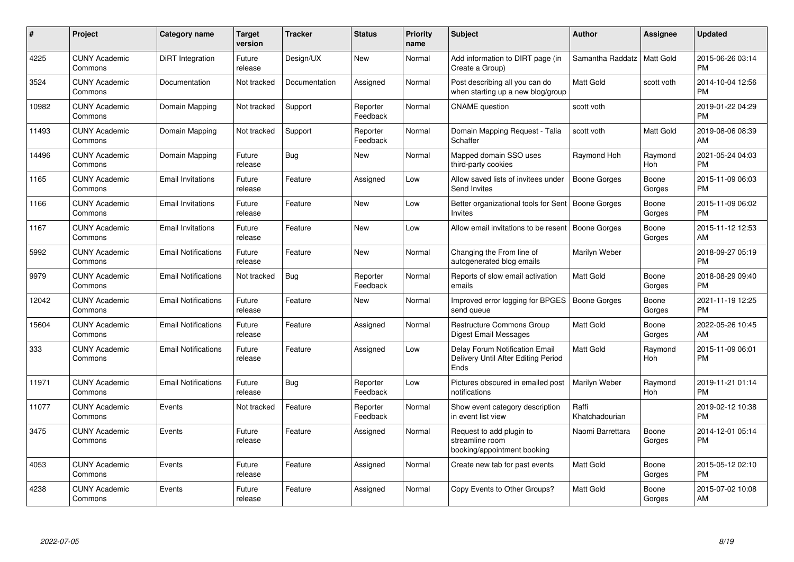| #     | Project                         | <b>Category name</b>       | <b>Target</b><br>version | <b>Tracker</b> | <b>Status</b>        | Priority<br>name | <b>Subject</b>                                                                | <b>Author</b>           | <b>Assignee</b> | <b>Updated</b>                |
|-------|---------------------------------|----------------------------|--------------------------|----------------|----------------------|------------------|-------------------------------------------------------------------------------|-------------------------|-----------------|-------------------------------|
| 4225  | <b>CUNY Academic</b><br>Commons | DiRT Integration           | Future<br>release        | Design/UX      | New                  | Normal           | Add information to DIRT page (in<br>Create a Group)                           | Samantha Raddatz        | Matt Gold       | 2015-06-26 03:14<br><b>PM</b> |
| 3524  | <b>CUNY Academic</b><br>Commons | Documentation              | Not tracked              | Documentation  | Assigned             | Normal           | Post describing all you can do<br>when starting up a new blog/group           | <b>Matt Gold</b>        | scott voth      | 2014-10-04 12:56<br><b>PM</b> |
| 10982 | <b>CUNY Academic</b><br>Commons | Domain Mapping             | Not tracked              | Support        | Reporter<br>Feedback | Normal           | <b>CNAME</b> question                                                         | scott voth              |                 | 2019-01-22 04:29<br>PM        |
| 11493 | <b>CUNY Academic</b><br>Commons | Domain Mapping             | Not tracked              | Support        | Reporter<br>Feedback | Normal           | Domain Mapping Request - Talia<br>Schaffer                                    | scott voth              | Matt Gold       | 2019-08-06 08:39<br>AM        |
| 14496 | <b>CUNY Academic</b><br>Commons | Domain Mapping             | Future<br>release        | Bug            | New                  | Normal           | Mapped domain SSO uses<br>third-party cookies                                 | Raymond Hoh             | Raymond<br>Hoh  | 2021-05-24 04:03<br><b>PM</b> |
| 1165  | <b>CUNY Academic</b><br>Commons | <b>Email Invitations</b>   | Future<br>release        | Feature        | Assigned             | Low              | Allow saved lists of invitees under<br>Send Invites                           | <b>Boone Gorges</b>     | Boone<br>Gorges | 2015-11-09 06:03<br><b>PM</b> |
| 1166  | <b>CUNY Academic</b><br>Commons | <b>Email Invitations</b>   | Future<br>release        | Feature        | <b>New</b>           | Low              | Better organizational tools for Sent<br><b>Invites</b>                        | Boone Gorges            | Boone<br>Gorges | 2015-11-09 06:02<br><b>PM</b> |
| 1167  | <b>CUNY Academic</b><br>Commons | <b>Email Invitations</b>   | Future<br>release        | Feature        | <b>New</b>           | Low              | Allow email invitations to be resent                                          | Boone Gorges            | Boone<br>Gorges | 2015-11-12 12:53<br><b>AM</b> |
| 5992  | <b>CUNY Academic</b><br>Commons | <b>Email Notifications</b> | Future<br>release        | Feature        | <b>New</b>           | Normal           | Changing the From line of<br>autogenerated blog emails                        | Marilyn Weber           |                 | 2018-09-27 05:19<br><b>PM</b> |
| 9979  | <b>CUNY Academic</b><br>Commons | <b>Email Notifications</b> | Not tracked              | <b>Bug</b>     | Reporter<br>Feedback | Normal           | Reports of slow email activation<br>emails                                    | <b>Matt Gold</b>        | Boone<br>Gorges | 2018-08-29 09:40<br><b>PM</b> |
| 12042 | <b>CUNY Academic</b><br>Commons | <b>Email Notifications</b> | Future<br>release        | Feature        | <b>New</b>           | Normal           | Improved error logging for BPGES<br>send queue                                | <b>Boone Gorges</b>     | Boone<br>Gorges | 2021-11-19 12:25<br><b>PM</b> |
| 15604 | <b>CUNY Academic</b><br>Commons | <b>Email Notifications</b> | Future<br>release        | Feature        | Assigned             | Normal           | Restructure Commons Group<br>Digest Email Messages                            | <b>Matt Gold</b>        | Boone<br>Gorges | 2022-05-26 10:45<br>AM        |
| 333   | <b>CUNY Academic</b><br>Commons | <b>Email Notifications</b> | Future<br>release        | Feature        | Assigned             | Low              | Delay Forum Notification Email<br>Delivery Until After Editing Period<br>Ends | Matt Gold               | Raymond<br>Hoh  | 2015-11-09 06:01<br>PM        |
| 11971 | <b>CUNY Academic</b><br>Commons | <b>Email Notifications</b> | Future<br>release        | Bug            | Reporter<br>Feedback | Low              | Pictures obscured in emailed post<br>notifications                            | Marilyn Weber           | Raymond<br>Hoh  | 2019-11-21 01:14<br><b>PM</b> |
| 11077 | <b>CUNY Academic</b><br>Commons | Events                     | Not tracked              | Feature        | Reporter<br>Feedback | Normal           | Show event category description<br>in event list view                         | Raffi<br>Khatchadourian |                 | 2019-02-12 10:38<br><b>PM</b> |
| 3475  | <b>CUNY Academic</b><br>Commons | Events                     | Future<br>release        | Feature        | Assigned             | Normal           | Request to add plugin to<br>streamline room<br>booking/appointment booking    | Naomi Barrettara        | Boone<br>Gorges | 2014-12-01 05:14<br><b>PM</b> |
| 4053  | <b>CUNY Academic</b><br>Commons | Events                     | Future<br>release        | Feature        | Assigned             | Normal           | Create new tab for past events                                                | Matt Gold               | Boone<br>Gorges | 2015-05-12 02:10<br><b>PM</b> |
| 4238  | <b>CUNY Academic</b><br>Commons | Events                     | Future<br>release        | Feature        | Assigned             | Normal           | Copy Events to Other Groups?                                                  | <b>Matt Gold</b>        | Boone<br>Gorges | 2015-07-02 10:08<br>AM        |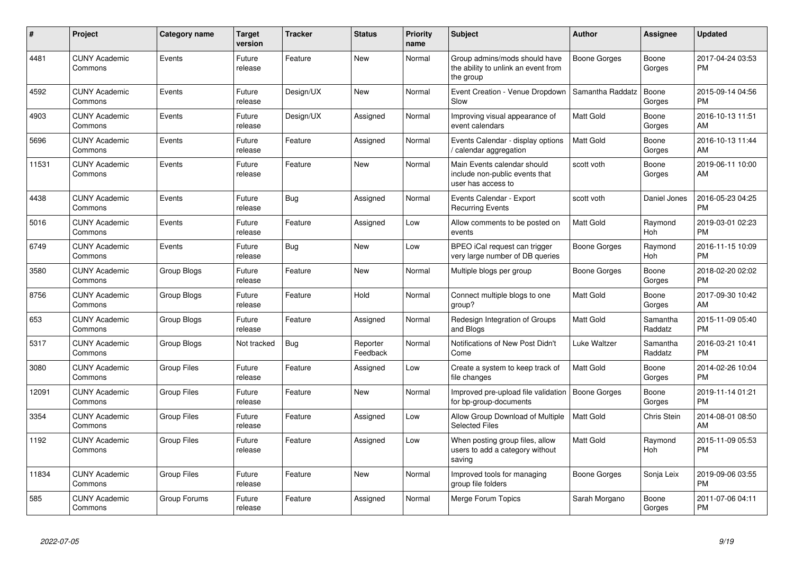| #     | Project                         | Category name      | <b>Target</b><br>version | <b>Tracker</b> | <b>Status</b>        | <b>Priority</b><br>name | <b>Subject</b>                                                                      | <b>Author</b>       | <b>Assignee</b>     | <b>Updated</b>                |
|-------|---------------------------------|--------------------|--------------------------|----------------|----------------------|-------------------------|-------------------------------------------------------------------------------------|---------------------|---------------------|-------------------------------|
| 4481  | <b>CUNY Academic</b><br>Commons | Events             | Future<br>release        | Feature        | <b>New</b>           | Normal                  | Group admins/mods should have<br>the ability to unlink an event from<br>the group   | <b>Boone Gorges</b> | Boone<br>Gorges     | 2017-04-24 03:53<br><b>PM</b> |
| 4592  | <b>CUNY Academic</b><br>Commons | Events             | Future<br>release        | Design/UX      | <b>New</b>           | Normal                  | Event Creation - Venue Dropdown<br>Slow                                             | Samantha Raddatz    | Boone<br>Gorges     | 2015-09-14 04:56<br><b>PM</b> |
| 4903  | <b>CUNY Academic</b><br>Commons | Events             | Future<br>release        | Design/UX      | Assigned             | Normal                  | Improving visual appearance of<br>event calendars                                   | Matt Gold           | Boone<br>Gorges     | 2016-10-13 11:51<br>AM        |
| 5696  | <b>CUNY Academic</b><br>Commons | Events             | Future<br>release        | Feature        | Assigned             | Normal                  | Events Calendar - display options<br>calendar aggregation                           | <b>Matt Gold</b>    | Boone<br>Gorges     | 2016-10-13 11:44<br>AM        |
| 11531 | <b>CUNY Academic</b><br>Commons | Events             | Future<br>release        | Feature        | New                  | Normal                  | Main Events calendar should<br>include non-public events that<br>user has access to | scott voth          | Boone<br>Gorges     | 2019-06-11 10:00<br>AM        |
| 4438  | <b>CUNY Academic</b><br>Commons | Events             | Future<br>release        | <b>Bug</b>     | Assigned             | Normal                  | Events Calendar - Export<br><b>Recurring Events</b>                                 | scott voth          | Daniel Jones        | 2016-05-23 04:25<br><b>PM</b> |
| 5016  | <b>CUNY Academic</b><br>Commons | Events             | Future<br>release        | Feature        | Assigned             | Low                     | Allow comments to be posted on<br>events                                            | Matt Gold           | Raymond<br>Hoh      | 2019-03-01 02:23<br><b>PM</b> |
| 6749  | <b>CUNY Academic</b><br>Commons | Events             | Future<br>release        | Bug            | New                  | Low                     | BPEO iCal request can trigger<br>very large number of DB queries                    | Boone Gorges        | Raymond<br>Hoh      | 2016-11-15 10:09<br><b>PM</b> |
| 3580  | <b>CUNY Academic</b><br>Commons | Group Blogs        | Future<br>release        | Feature        | <b>New</b>           | Normal                  | Multiple blogs per group                                                            | <b>Boone Gorges</b> | Boone<br>Gorges     | 2018-02-20 02:02<br><b>PM</b> |
| 8756  | <b>CUNY Academic</b><br>Commons | Group Blogs        | Future<br>release        | Feature        | Hold                 | Normal                  | Connect multiple blogs to one<br>group?                                             | Matt Gold           | Boone<br>Gorges     | 2017-09-30 10:42<br>AM        |
| 653   | <b>CUNY Academic</b><br>Commons | Group Blogs        | Future<br>release        | Feature        | Assigned             | Normal                  | Redesign Integration of Groups<br>and Blogs                                         | <b>Matt Gold</b>    | Samantha<br>Raddatz | 2015-11-09 05:40<br><b>PM</b> |
| 5317  | <b>CUNY Academic</b><br>Commons | Group Blogs        | Not tracked              | Bug            | Reporter<br>Feedback | Normal                  | Notifications of New Post Didn't<br>Come                                            | Luke Waltzer        | Samantha<br>Raddatz | 2016-03-21 10:41<br>PM        |
| 3080  | <b>CUNY Academic</b><br>Commons | <b>Group Files</b> | Future<br>release        | Feature        | Assigned             | Low                     | Create a system to keep track of<br>file changes                                    | Matt Gold           | Boone<br>Gorges     | 2014-02-26 10:04<br><b>PM</b> |
| 12091 | <b>CUNY Academic</b><br>Commons | <b>Group Files</b> | Future<br>release        | Feature        | New                  | Normal                  | Improved pre-upload file validation<br>for bp-group-documents                       | <b>Boone Gorges</b> | Boone<br>Gorges     | 2019-11-14 01:21<br><b>PM</b> |
| 3354  | <b>CUNY Academic</b><br>Commons | <b>Group Files</b> | Future<br>release        | Feature        | Assigned             | Low                     | Allow Group Download of Multiple<br><b>Selected Files</b>                           | <b>Matt Gold</b>    | Chris Stein         | 2014-08-01 08:50<br>AM        |
| 1192  | <b>CUNY Academic</b><br>Commons | <b>Group Files</b> | Future<br>release        | Feature        | Assigned             | Low                     | When posting group files, allow<br>users to add a category without<br>saving        | <b>Matt Gold</b>    | Raymond<br>Hoh      | 2015-11-09 05:53<br><b>PM</b> |
| 11834 | <b>CUNY Academic</b><br>Commons | <b>Group Files</b> | Future<br>release        | Feature        | <b>New</b>           | Normal                  | Improved tools for managing<br>group file folders                                   | Boone Gorges        | Sonja Leix          | 2019-09-06 03:55<br>PM        |
| 585   | <b>CUNY Academic</b><br>Commons | Group Forums       | Future<br>release        | Feature        | Assigned             | Normal                  | Merge Forum Topics                                                                  | Sarah Morgano       | Boone<br>Gorges     | 2011-07-06 04:11<br>PM        |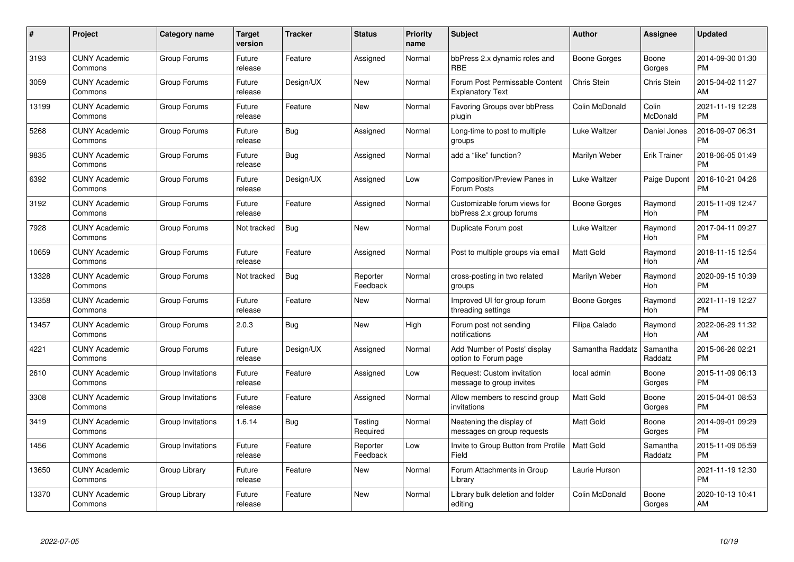| $\#$  | Project                         | <b>Category name</b> | <b>Target</b><br>version | <b>Tracker</b> | <b>Status</b>        | <b>Priority</b><br>name | <b>Subject</b>                                            | <b>Author</b>       | Assignee            | <b>Updated</b>                |
|-------|---------------------------------|----------------------|--------------------------|----------------|----------------------|-------------------------|-----------------------------------------------------------|---------------------|---------------------|-------------------------------|
| 3193  | <b>CUNY Academic</b><br>Commons | Group Forums         | Future<br>release        | Feature        | Assigned             | Normal                  | bbPress 2.x dynamic roles and<br><b>RBE</b>               | <b>Boone Gorges</b> | Boone<br>Gorges     | 2014-09-30 01:30<br><b>PM</b> |
| 3059  | <b>CUNY Academic</b><br>Commons | Group Forums         | Future<br>release        | Design/UX      | <b>New</b>           | Normal                  | Forum Post Permissable Content<br><b>Explanatory Text</b> | Chris Stein         | <b>Chris Stein</b>  | 2015-04-02 11:27<br>AM        |
| 13199 | <b>CUNY Academic</b><br>Commons | Group Forums         | Future<br>release        | Feature        | New                  | Normal                  | <b>Favoring Groups over bbPress</b><br>plugin             | Colin McDonald      | Colin<br>McDonald   | 2021-11-19 12:28<br><b>PM</b> |
| 5268  | <b>CUNY Academic</b><br>Commons | Group Forums         | Future<br>release        | Bug            | Assigned             | Normal                  | Long-time to post to multiple<br>groups                   | Luke Waltzer        | Daniel Jones        | 2016-09-07 06:31<br><b>PM</b> |
| 9835  | <b>CUNY Academic</b><br>Commons | Group Forums         | Future<br>release        | Bug            | Assigned             | Normal                  | add a "like" function?                                    | Marilyn Weber       | <b>Erik Trainer</b> | 2018-06-05 01:49<br><b>PM</b> |
| 6392  | <b>CUNY Academic</b><br>Commons | Group Forums         | Future<br>release        | Design/UX      | Assigned             | Low                     | Composition/Preview Panes in<br>Forum Posts               | Luke Waltzer        | Paige Dupont        | 2016-10-21 04:26<br><b>PM</b> |
| 3192  | <b>CUNY Academic</b><br>Commons | Group Forums         | Future<br>release        | Feature        | Assigned             | Normal                  | Customizable forum views for<br>bbPress 2.x group forums  | Boone Gorges        | Raymond<br>Hoh      | 2015-11-09 12:47<br><b>PM</b> |
| 7928  | <b>CUNY Academic</b><br>Commons | Group Forums         | Not tracked              | Bug            | New                  | Normal                  | Duplicate Forum post                                      | Luke Waltzer        | Raymond<br>Hoh      | 2017-04-11 09:27<br><b>PM</b> |
| 10659 | <b>CUNY Academic</b><br>Commons | Group Forums         | Future<br>release        | Feature        | Assigned             | Normal                  | Post to multiple groups via email                         | <b>Matt Gold</b>    | Raymond<br>Hoh      | 2018-11-15 12:54<br>AM        |
| 13328 | <b>CUNY Academic</b><br>Commons | Group Forums         | Not tracked              | <b>Bug</b>     | Reporter<br>Feedback | Normal                  | cross-posting in two related<br>groups                    | Marilyn Weber       | Raymond<br>Hoh      | 2020-09-15 10:39<br><b>PM</b> |
| 13358 | <b>CUNY Academic</b><br>Commons | Group Forums         | Future<br>release        | Feature        | New                  | Normal                  | Improved UI for group forum<br>threading settings         | Boone Gorges        | Raymond<br>Hoh      | 2021-11-19 12:27<br><b>PM</b> |
| 13457 | <b>CUNY Academic</b><br>Commons | Group Forums         | 2.0.3                    | <b>Bug</b>     | New                  | High                    | Forum post not sending<br>notifications                   | Filipa Calado       | Raymond<br>Hoh      | 2022-06-29 11:32<br>AM        |
| 4221  | <b>CUNY Academic</b><br>Commons | Group Forums         | Future<br>release        | Design/UX      | Assigned             | Normal                  | Add 'Number of Posts' display<br>option to Forum page     | Samantha Raddatz    | Samantha<br>Raddatz | 2015-06-26 02:21<br>PM        |
| 2610  | <b>CUNY Academic</b><br>Commons | Group Invitations    | Future<br>release        | Feature        | Assigned             | Low                     | Request: Custom invitation<br>message to group invites    | local admin         | Boone<br>Gorges     | 2015-11-09 06:13<br><b>PM</b> |
| 3308  | <b>CUNY Academic</b><br>Commons | Group Invitations    | Future<br>release        | Feature        | Assigned             | Normal                  | Allow members to rescind group<br>invitations             | <b>Matt Gold</b>    | Boone<br>Gorges     | 2015-04-01 08:53<br><b>PM</b> |
| 3419  | <b>CUNY Academic</b><br>Commons | Group Invitations    | 1.6.14                   | <b>Bug</b>     | Testing<br>Required  | Normal                  | Neatening the display of<br>messages on group requests    | Matt Gold           | Boone<br>Gorges     | 2014-09-01 09:29<br><b>PM</b> |
| 1456  | <b>CUNY Academic</b><br>Commons | Group Invitations    | Future<br>release        | Feature        | Reporter<br>Feedback | Low                     | Invite to Group Button from Profile<br>Field              | <b>Matt Gold</b>    | Samantha<br>Raddatz | 2015-11-09 05:59<br><b>PM</b> |
| 13650 | <b>CUNY Academic</b><br>Commons | Group Library        | Future<br>release        | Feature        | New                  | Normal                  | Forum Attachments in Group<br>Library                     | Laurie Hurson       |                     | 2021-11-19 12:30<br><b>PM</b> |
| 13370 | <b>CUNY Academic</b><br>Commons | Group Library        | Future<br>release        | Feature        | <b>New</b>           | Normal                  | Library bulk deletion and folder<br>editing               | Colin McDonald      | Boone<br>Gorges     | 2020-10-13 10:41<br>AM        |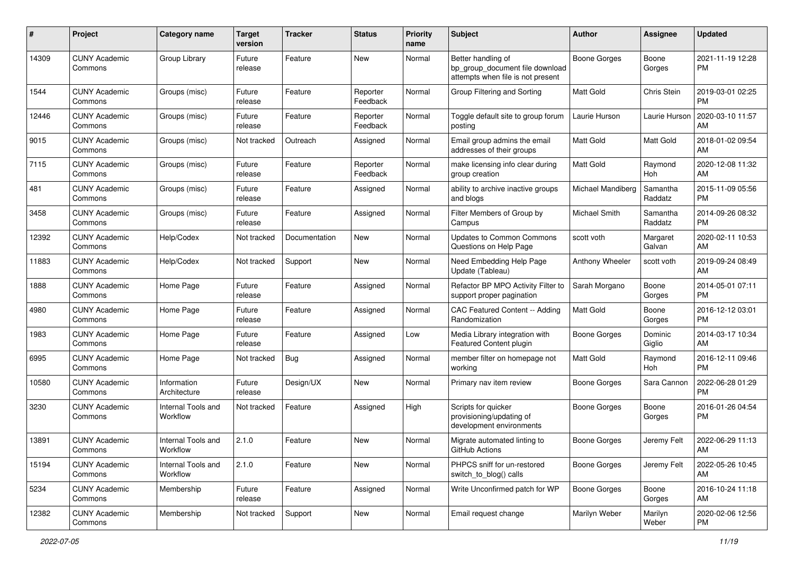| #     | Project                         | <b>Category name</b>           | <b>Target</b><br>version | <b>Tracker</b> | <b>Status</b>        | <b>Priority</b><br>name | <b>Subject</b>                                                                             | Author              | Assignee            | <b>Updated</b>                |
|-------|---------------------------------|--------------------------------|--------------------------|----------------|----------------------|-------------------------|--------------------------------------------------------------------------------------------|---------------------|---------------------|-------------------------------|
| 14309 | <b>CUNY Academic</b><br>Commons | Group Library                  | Future<br>release        | Feature        | New                  | Normal                  | Better handling of<br>bp group document file download<br>attempts when file is not present | <b>Boone Gorges</b> | Boone<br>Gorges     | 2021-11-19 12:28<br>PM.       |
| 1544  | <b>CUNY Academic</b><br>Commons | Groups (misc)                  | Future<br>release        | Feature        | Reporter<br>Feedback | Normal                  | Group Filtering and Sorting                                                                | <b>Matt Gold</b>    | Chris Stein         | 2019-03-01 02:25<br>PM        |
| 12446 | <b>CUNY Academic</b><br>Commons | Groups (misc)                  | Future<br>release        | Feature        | Reporter<br>Feedback | Normal                  | Toggle default site to group forum<br>posting                                              | Laurie Hurson       | Laurie Hurson       | 2020-03-10 11:57<br>AM        |
| 9015  | <b>CUNY Academic</b><br>Commons | Groups (misc)                  | Not tracked              | Outreach       | Assigned             | Normal                  | Email group admins the email<br>addresses of their groups                                  | Matt Gold           | Matt Gold           | 2018-01-02 09:54<br>AM        |
| 7115  | <b>CUNY Academic</b><br>Commons | Groups (misc)                  | Future<br>release        | Feature        | Reporter<br>Feedback | Normal                  | make licensing info clear during<br>group creation                                         | <b>Matt Gold</b>    | Raymond<br>Hoh      | 2020-12-08 11:32<br>AM        |
| 481   | <b>CUNY Academic</b><br>Commons | Groups (misc)                  | Future<br>release        | Feature        | Assigned             | Normal                  | ability to archive inactive groups<br>and blogs                                            | Michael Mandiberg   | Samantha<br>Raddatz | 2015-11-09 05:56<br><b>PM</b> |
| 3458  | <b>CUNY Academic</b><br>Commons | Groups (misc)                  | Future<br>release        | Feature        | Assigned             | Normal                  | Filter Members of Group by<br>Campus                                                       | Michael Smith       | Samantha<br>Raddatz | 2014-09-26 08:32<br><b>PM</b> |
| 12392 | <b>CUNY Academic</b><br>Commons | Help/Codex                     | Not tracked              | Documentation  | New                  | Normal                  | Updates to Common Commons<br>Questions on Help Page                                        | scott voth          | Margaret<br>Galvan  | 2020-02-11 10:53<br>AM        |
| 11883 | <b>CUNY Academic</b><br>Commons | Help/Codex                     | Not tracked              | Support        | New                  | Normal                  | Need Embedding Help Page<br>Update (Tableau)                                               | Anthony Wheeler     | scott voth          | 2019-09-24 08:49<br>AM        |
| 1888  | <b>CUNY Academic</b><br>Commons | Home Page                      | Future<br>release        | Feature        | Assigned             | Normal                  | Refactor BP MPO Activity Filter to<br>support proper pagination                            | Sarah Morgano       | Boone<br>Gorges     | 2014-05-01 07:11<br><b>PM</b> |
| 4980  | <b>CUNY Academic</b><br>Commons | Home Page                      | Future<br>release        | Feature        | Assigned             | Normal                  | CAC Featured Content -- Adding<br>Randomization                                            | Matt Gold           | Boone<br>Gorges     | 2016-12-12 03:01<br><b>PM</b> |
| 1983  | <b>CUNY Academic</b><br>Commons | Home Page                      | Future<br>release        | Feature        | Assigned             | Low                     | Media Library integration with<br>Featured Content plugin                                  | Boone Gorges        | Dominic<br>Giglio   | 2014-03-17 10:34<br>AM        |
| 6995  | <b>CUNY Academic</b><br>Commons | Home Page                      | Not tracked              | Bug            | Assigned             | Normal                  | member filter on homepage not<br>working                                                   | Matt Gold           | Raymond<br>Hoh      | 2016-12-11 09:46<br><b>PM</b> |
| 10580 | <b>CUNY Academic</b><br>Commons | Information<br>Architecture    | Future<br>release        | Design/UX      | New                  | Normal                  | Primary nav item review                                                                    | Boone Gorges        | Sara Cannon         | 2022-06-28 01:29<br><b>PM</b> |
| 3230  | <b>CUNY Academic</b><br>Commons | Internal Tools and<br>Workflow | Not tracked              | Feature        | Assigned             | High                    | Scripts for quicker<br>provisioning/updating of<br>development environments                | Boone Gorges        | Boone<br>Gorges     | 2016-01-26 04:54<br><b>PM</b> |
| 13891 | <b>CUNY Academic</b><br>Commons | Internal Tools and<br>Workflow | 2.1.0                    | Feature        | New                  | Normal                  | Migrate automated linting to<br>GitHub Actions                                             | Boone Gorges        | Jeremy Felt         | 2022-06-29 11:13<br>AM        |
| 15194 | <b>CUNY Academic</b><br>Commons | Internal Tools and<br>Workflow | 2.1.0                    | Feature        | New                  | Normal                  | PHPCS sniff for un-restored<br>switch_to_blog() calls                                      | Boone Gorges        | Jeremy Felt         | 2022-05-26 10:45<br>AM        |
| 5234  | <b>CUNY Academic</b><br>Commons | Membership                     | Future<br>release        | Feature        | Assigned             | Normal                  | Write Unconfirmed patch for WP                                                             | Boone Gorges        | Boone<br>Gorges     | 2016-10-24 11:18<br>AM        |
| 12382 | <b>CUNY Academic</b><br>Commons | Membership                     | Not tracked              | Support        | New                  | Normal                  | Email request change                                                                       | Marilyn Weber       | Marilyn<br>Weber    | 2020-02-06 12:56<br>PM        |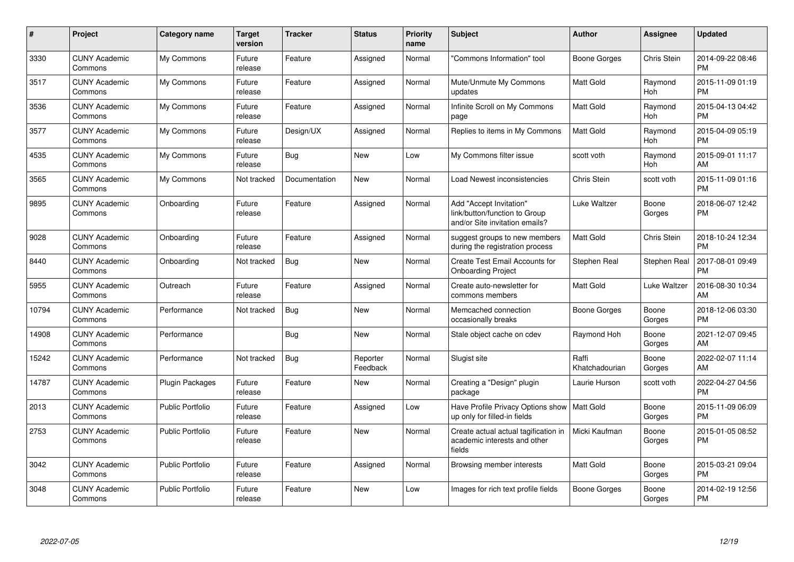| #     | Project                         | <b>Category name</b>    | <b>Target</b><br>version | <b>Tracker</b> | <b>Status</b>        | Priority<br>name | <b>Subject</b>                                                                             | <b>Author</b>           | <b>Assignee</b> | <b>Updated</b>                |
|-------|---------------------------------|-------------------------|--------------------------|----------------|----------------------|------------------|--------------------------------------------------------------------------------------------|-------------------------|-----------------|-------------------------------|
| 3330  | <b>CUNY Academic</b><br>Commons | My Commons              | Future<br>release        | Feature        | Assigned             | Normal           | "Commons Information" tool                                                                 | Boone Gorges            | Chris Stein     | 2014-09-22 08:46<br>PM        |
| 3517  | <b>CUNY Academic</b><br>Commons | My Commons              | Future<br>release        | Feature        | Assigned             | Normal           | Mute/Unmute My Commons<br>updates                                                          | <b>Matt Gold</b>        | Raymond<br>Hoh  | 2015-11-09 01:19<br><b>PM</b> |
| 3536  | <b>CUNY Academic</b><br>Commons | My Commons              | Future<br>release        | Feature        | Assigned             | Normal           | Infinite Scroll on My Commons<br>page                                                      | <b>Matt Gold</b>        | Raymond<br>Hoh  | 2015-04-13 04:42<br><b>PM</b> |
| 3577  | <b>CUNY Academic</b><br>Commons | My Commons              | Future<br>release        | Design/UX      | Assigned             | Normal           | Replies to items in My Commons                                                             | <b>Matt Gold</b>        | Raymond<br>Hoh  | 2015-04-09 05:19<br><b>PM</b> |
| 4535  | <b>CUNY Academic</b><br>Commons | My Commons              | Future<br>release        | Bug            | <b>New</b>           | Low              | My Commons filter issue                                                                    | scott voth              | Raymond<br>Hoh  | 2015-09-01 11:17<br>AM        |
| 3565  | <b>CUNY Academic</b><br>Commons | My Commons              | Not tracked              | Documentation  | <b>New</b>           | Normal           | Load Newest inconsistencies                                                                | Chris Stein             | scott voth      | 2015-11-09 01:16<br><b>PM</b> |
| 9895  | <b>CUNY Academic</b><br>Commons | Onboarding              | Future<br>release        | Feature        | Assigned             | Normal           | Add "Accept Invitation"<br>link/button/function to Group<br>and/or Site invitation emails? | Luke Waltzer            | Boone<br>Gorges | 2018-06-07 12:42<br><b>PM</b> |
| 9028  | <b>CUNY Academic</b><br>Commons | Onboarding              | Future<br>release        | Feature        | Assigned             | Normal           | suggest groups to new members<br>during the registration process                           | <b>Matt Gold</b>        | Chris Stein     | 2018-10-24 12:34<br><b>PM</b> |
| 8440  | <b>CUNY Academic</b><br>Commons | Onboarding              | Not tracked              | <b>Bug</b>     | <b>New</b>           | Normal           | Create Test Email Accounts for<br><b>Onboarding Project</b>                                | Stephen Real            | Stephen Real    | 2017-08-01 09:49<br><b>PM</b> |
| 5955  | <b>CUNY Academic</b><br>Commons | Outreach                | Future<br>release        | Feature        | Assigned             | Normal           | Create auto-newsletter for<br>commons members                                              | <b>Matt Gold</b>        | Luke Waltzer    | 2016-08-30 10:34<br>AM        |
| 10794 | <b>CUNY Academic</b><br>Commons | Performance             | Not tracked              | Bug            | New                  | Normal           | Memcached connection<br>occasionally breaks                                                | Boone Gorges            | Boone<br>Gorges | 2018-12-06 03:30<br><b>PM</b> |
| 14908 | <b>CUNY Academic</b><br>Commons | Performance             |                          | Bug            | New                  | Normal           | Stale object cache on cdev                                                                 | Raymond Hoh             | Boone<br>Gorges | 2021-12-07 09:45<br>AM        |
| 15242 | <b>CUNY Academic</b><br>Commons | Performance             | Not tracked              | Bug            | Reporter<br>Feedback | Normal           | Slugist site                                                                               | Raffi<br>Khatchadourian | Boone<br>Gorges | 2022-02-07 11:14<br>AM        |
| 14787 | <b>CUNY Academic</b><br>Commons | <b>Plugin Packages</b>  | Future<br>release        | Feature        | New                  | Normal           | Creating a "Design" plugin<br>package                                                      | Laurie Hurson           | scott voth      | 2022-04-27 04:56<br><b>PM</b> |
| 2013  | <b>CUNY Academic</b><br>Commons | <b>Public Portfolio</b> | Future<br>release        | Feature        | Assigned             | Low              | Have Profile Privacy Options show   Matt Gold<br>up only for filled-in fields              |                         | Boone<br>Gorges | 2015-11-09 06:09<br><b>PM</b> |
| 2753  | <b>CUNY Academic</b><br>Commons | <b>Public Portfolio</b> | Future<br>release        | Feature        | <b>New</b>           | Normal           | Create actual actual tagification in<br>academic interests and other<br>fields             | Micki Kaufman           | Boone<br>Gorges | 2015-01-05 08:52<br><b>PM</b> |
| 3042  | <b>CUNY Academic</b><br>Commons | <b>Public Portfolio</b> | Future<br>release        | Feature        | Assigned             | Normal           | Browsing member interests                                                                  | <b>Matt Gold</b>        | Boone<br>Gorges | 2015-03-21 09:04<br><b>PM</b> |
| 3048  | <b>CUNY Academic</b><br>Commons | <b>Public Portfolio</b> | Future<br>release        | Feature        | <b>New</b>           | Low              | Images for rich text profile fields                                                        | Boone Gorges            | Boone<br>Gorges | 2014-02-19 12:56<br><b>PM</b> |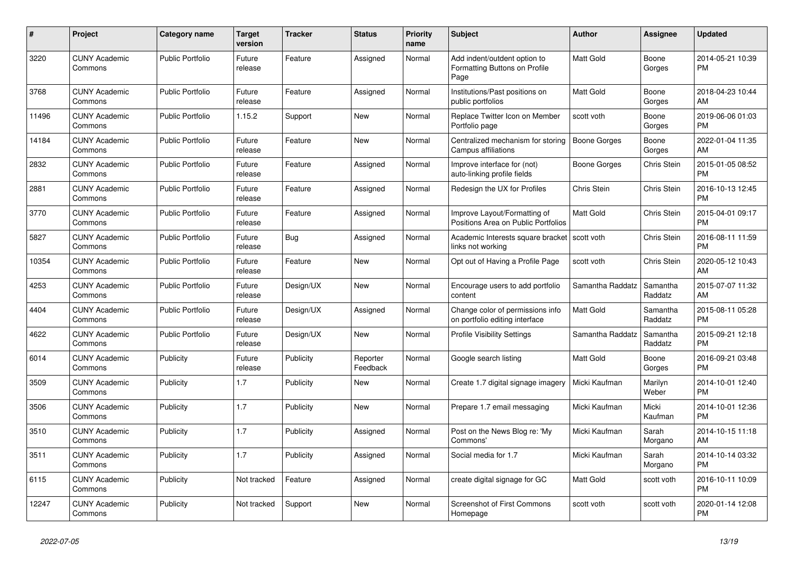| #     | <b>Project</b>                  | Category name           | <b>Target</b><br>version | <b>Tracker</b> | <b>Status</b>        | <b>Priority</b><br>name | <b>Subject</b>                                                        | <b>Author</b>    | Assignee            | <b>Updated</b>                |
|-------|---------------------------------|-------------------------|--------------------------|----------------|----------------------|-------------------------|-----------------------------------------------------------------------|------------------|---------------------|-------------------------------|
| 3220  | <b>CUNY Academic</b><br>Commons | <b>Public Portfolio</b> | Future<br>release        | Feature        | Assigned             | Normal                  | Add indent/outdent option to<br>Formatting Buttons on Profile<br>Page | <b>Matt Gold</b> | Boone<br>Gorges     | 2014-05-21 10:39<br><b>PM</b> |
| 3768  | <b>CUNY Academic</b><br>Commons | <b>Public Portfolio</b> | Future<br>release        | Feature        | Assigned             | Normal                  | Institutions/Past positions on<br>public portfolios                   | <b>Matt Gold</b> | Boone<br>Gorges     | 2018-04-23 10:44<br>AM        |
| 11496 | <b>CUNY Academic</b><br>Commons | <b>Public Portfolio</b> | 1.15.2                   | Support        | <b>New</b>           | Normal                  | Replace Twitter Icon on Member<br>Portfolio page                      | scott voth       | Boone<br>Gorges     | 2019-06-06 01:03<br><b>PM</b> |
| 14184 | <b>CUNY Academic</b><br>Commons | <b>Public Portfolio</b> | Future<br>release        | Feature        | New                  | Normal                  | Centralized mechanism for storing<br>Campus affiliations              | Boone Gorges     | Boone<br>Gorges     | 2022-01-04 11:35<br>AM        |
| 2832  | <b>CUNY Academic</b><br>Commons | <b>Public Portfolio</b> | Future<br>release        | Feature        | Assigned             | Normal                  | Improve interface for (not)<br>auto-linking profile fields            | Boone Gorges     | Chris Stein         | 2015-01-05 08:52<br><b>PM</b> |
| 2881  | <b>CUNY Academic</b><br>Commons | Public Portfolio        | Future<br>release        | Feature        | Assigned             | Normal                  | Redesign the UX for Profiles                                          | Chris Stein      | Chris Stein         | 2016-10-13 12:45<br><b>PM</b> |
| 3770  | <b>CUNY Academic</b><br>Commons | <b>Public Portfolio</b> | Future<br>release        | Feature        | Assigned             | Normal                  | Improve Layout/Formatting of<br>Positions Area on Public Portfolios   | <b>Matt Gold</b> | Chris Stein         | 2015-04-01 09:17<br><b>PM</b> |
| 5827  | <b>CUNY Academic</b><br>Commons | <b>Public Portfolio</b> | Future<br>release        | Bug            | Assigned             | Normal                  | Academic Interests square bracket<br>links not working                | scott voth       | Chris Stein         | 2016-08-11 11:59<br><b>PM</b> |
| 10354 | <b>CUNY Academic</b><br>Commons | <b>Public Portfolio</b> | Future<br>release        | Feature        | New                  | Normal                  | Opt out of Having a Profile Page                                      | scott voth       | Chris Stein         | 2020-05-12 10:43<br>AM        |
| 4253  | <b>CUNY Academic</b><br>Commons | <b>Public Portfolio</b> | Future<br>release        | Design/UX      | New                  | Normal                  | Encourage users to add portfolio<br>content                           | Samantha Raddatz | Samantha<br>Raddatz | 2015-07-07 11:32<br>AM        |
| 4404  | <b>CUNY Academic</b><br>Commons | <b>Public Portfolio</b> | Future<br>release        | Design/UX      | Assigned             | Normal                  | Change color of permissions info<br>on portfolio editing interface    | <b>Matt Gold</b> | Samantha<br>Raddatz | 2015-08-11 05:28<br><b>PM</b> |
| 4622  | <b>CUNY Academic</b><br>Commons | <b>Public Portfolio</b> | Future<br>release        | Design/UX      | New                  | Normal                  | <b>Profile Visibility Settings</b>                                    | Samantha Raddatz | Samantha<br>Raddatz | 2015-09-21 12:18<br><b>PM</b> |
| 6014  | <b>CUNY Academic</b><br>Commons | Publicity               | Future<br>release        | Publicity      | Reporter<br>Feedback | Normal                  | Google search listing                                                 | <b>Matt Gold</b> | Boone<br>Gorges     | 2016-09-21 03:48<br><b>PM</b> |
| 3509  | <b>CUNY Academic</b><br>Commons | Publicity               | 1.7                      | Publicity      | New                  | Normal                  | Create 1.7 digital signage imagery                                    | Micki Kaufman    | Marilyn<br>Weber    | 2014-10-01 12:40<br><b>PM</b> |
| 3506  | <b>CUNY Academic</b><br>Commons | Publicity               | 1.7                      | Publicity      | <b>New</b>           | Normal                  | Prepare 1.7 email messaging                                           | Micki Kaufman    | Micki<br>Kaufman    | 2014-10-01 12:36<br><b>PM</b> |
| 3510  | <b>CUNY Academic</b><br>Commons | Publicity               | 1.7                      | Publicity      | Assigned             | Normal                  | Post on the News Blog re: 'My<br>Commons'                             | Micki Kaufman    | Sarah<br>Morgano    | 2014-10-15 11:18<br>AM        |
| 3511  | <b>CUNY Academic</b><br>Commons | Publicity               | 1.7                      | Publicity      | Assigned             | Normal                  | Social media for 1.7                                                  | Micki Kaufman    | Sarah<br>Morgano    | 2014-10-14 03:32<br><b>PM</b> |
| 6115  | <b>CUNY Academic</b><br>Commons | Publicity               | Not tracked              | Feature        | Assigned             | Normal                  | create digital signage for GC                                         | Matt Gold        | scott voth          | 2016-10-11 10:09<br><b>PM</b> |
| 12247 | <b>CUNY Academic</b><br>Commons | Publicity               | Not tracked              | Support        | <b>New</b>           | Normal                  | <b>Screenshot of First Commons</b><br>Homepage                        | scott voth       | scott voth          | 2020-01-14 12:08<br><b>PM</b> |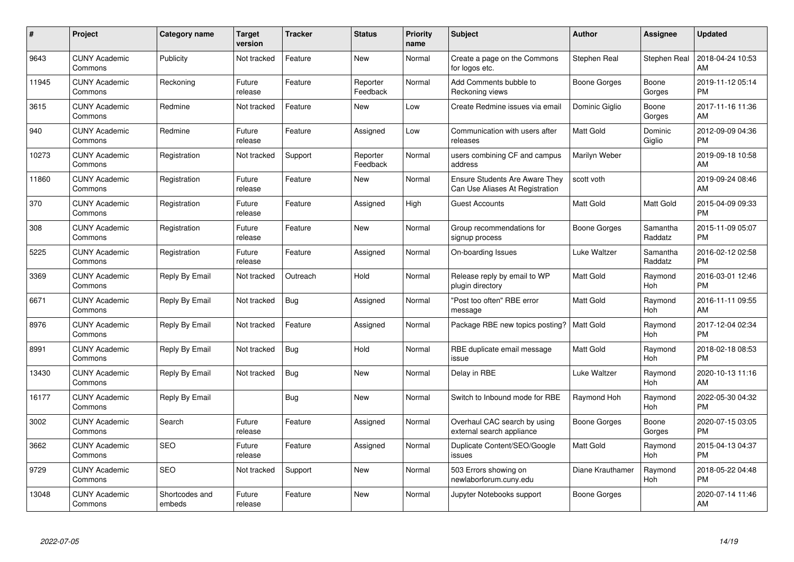| $\#$  | Project                         | <b>Category name</b>     | Target<br>version | <b>Tracker</b> | <b>Status</b>        | Priority<br>name | <b>Subject</b>                                                           | <b>Author</b>       | <b>Assignee</b>     | <b>Updated</b>                |
|-------|---------------------------------|--------------------------|-------------------|----------------|----------------------|------------------|--------------------------------------------------------------------------|---------------------|---------------------|-------------------------------|
| 9643  | <b>CUNY Academic</b><br>Commons | Publicity                | Not tracked       | Feature        | <b>New</b>           | Normal           | Create a page on the Commons<br>for logos etc.                           | Stephen Real        | Stephen Real        | 2018-04-24 10:53<br>AM        |
| 11945 | <b>CUNY Academic</b><br>Commons | Reckoning                | Future<br>release | Feature        | Reporter<br>Feedback | Normal           | Add Comments bubble to<br>Reckoning views                                | Boone Gorges        | Boone<br>Gorges     | 2019-11-12 05:14<br><b>PM</b> |
| 3615  | <b>CUNY Academic</b><br>Commons | Redmine                  | Not tracked       | Feature        | <b>New</b>           | Low              | Create Redmine issues via email                                          | Dominic Giglio      | Boone<br>Gorges     | 2017-11-16 11:36<br>AM        |
| 940   | <b>CUNY Academic</b><br>Commons | Redmine                  | Future<br>release | Feature        | Assigned             | Low              | Communication with users after<br>releases                               | <b>Matt Gold</b>    | Dominic<br>Giglio   | 2012-09-09 04:36<br><b>PM</b> |
| 10273 | <b>CUNY Academic</b><br>Commons | Registration             | Not tracked       | Support        | Reporter<br>Feedback | Normal           | users combining CF and campus<br>address                                 | Marilyn Weber       |                     | 2019-09-18 10:58<br>AM        |
| 11860 | <b>CUNY Academic</b><br>Commons | Registration             | Future<br>release | Feature        | New                  | Normal           | <b>Ensure Students Are Aware They</b><br>Can Use Aliases At Registration | scott voth          |                     | 2019-09-24 08:46<br>AM        |
| 370   | <b>CUNY Academic</b><br>Commons | Registration             | Future<br>release | Feature        | Assigned             | High             | <b>Guest Accounts</b>                                                    | <b>Matt Gold</b>    | Matt Gold           | 2015-04-09 09:33<br><b>PM</b> |
| 308   | <b>CUNY Academic</b><br>Commons | Registration             | Future<br>release | Feature        | <b>New</b>           | Normal           | Group recommendations for<br>signup process                              | Boone Gorges        | Samantha<br>Raddatz | 2015-11-09 05:07<br><b>PM</b> |
| 5225  | <b>CUNY Academic</b><br>Commons | Registration             | Future<br>release | Feature        | Assigned             | Normal           | On-boarding Issues                                                       | Luke Waltzer        | Samantha<br>Raddatz | 2016-02-12 02:58<br><b>PM</b> |
| 3369  | <b>CUNY Academic</b><br>Commons | Reply By Email           | Not tracked       | Outreach       | Hold                 | Normal           | Release reply by email to WP<br>plugin directory                         | <b>Matt Gold</b>    | Raymond<br>Hoh      | 2016-03-01 12:46<br><b>PM</b> |
| 6671  | <b>CUNY Academic</b><br>Commons | Reply By Email           | Not tracked       | Bug            | Assigned             | Normal           | "Post too often" RBE error<br>message                                    | <b>Matt Gold</b>    | Raymond<br>Hoh      | 2016-11-11 09:55<br>AM        |
| 8976  | <b>CUNY Academic</b><br>Commons | Reply By Email           | Not tracked       | Feature        | Assigned             | Normal           | Package RBE new topics posting?                                          | <b>Matt Gold</b>    | Raymond<br>Hoh      | 2017-12-04 02:34<br><b>PM</b> |
| 8991  | <b>CUNY Academic</b><br>Commons | Reply By Email           | Not tracked       | Bug            | Hold                 | Normal           | RBE duplicate email message<br>issue                                     | Matt Gold           | Raymond<br>Hoh      | 2018-02-18 08:53<br><b>PM</b> |
| 13430 | <b>CUNY Academic</b><br>Commons | Reply By Email           | Not tracked       | Bug            | New                  | Normal           | Delay in RBE                                                             | Luke Waltzer        | Raymond<br>Hoh      | 2020-10-13 11:16<br>AM        |
| 16177 | <b>CUNY Academic</b><br>Commons | Reply By Email           |                   | Bug            | New                  | Normal           | Switch to Inbound mode for RBE                                           | Raymond Hoh         | Raymond<br>Hoh      | 2022-05-30 04:32<br><b>PM</b> |
| 3002  | <b>CUNY Academic</b><br>Commons | Search                   | Future<br>release | Feature        | Assigned             | Normal           | Overhaul CAC search by using<br>external search appliance                | <b>Boone Gorges</b> | Boone<br>Gorges     | 2020-07-15 03:05<br><b>PM</b> |
| 3662  | <b>CUNY Academic</b><br>Commons | <b>SEO</b>               | Future<br>release | Feature        | Assigned             | Normal           | Duplicate Content/SEO/Google<br>issues                                   | <b>Matt Gold</b>    | Raymond<br>Hoh      | 2015-04-13 04:37<br><b>PM</b> |
| 9729  | <b>CUNY Academic</b><br>Commons | SEO                      | Not tracked       | Support        | New                  | Normal           | 503 Errors showing on<br>newlaborforum.cuny.edu                          | Diane Krauthamer    | Raymond<br>Hoh      | 2018-05-22 04:48<br><b>PM</b> |
| 13048 | CUNY Academic<br>Commons        | Shortcodes and<br>embeds | Future<br>release | Feature        | <b>New</b>           | Normal           | Jupyter Notebooks support                                                | Boone Gorges        |                     | 2020-07-14 11:46<br>AM        |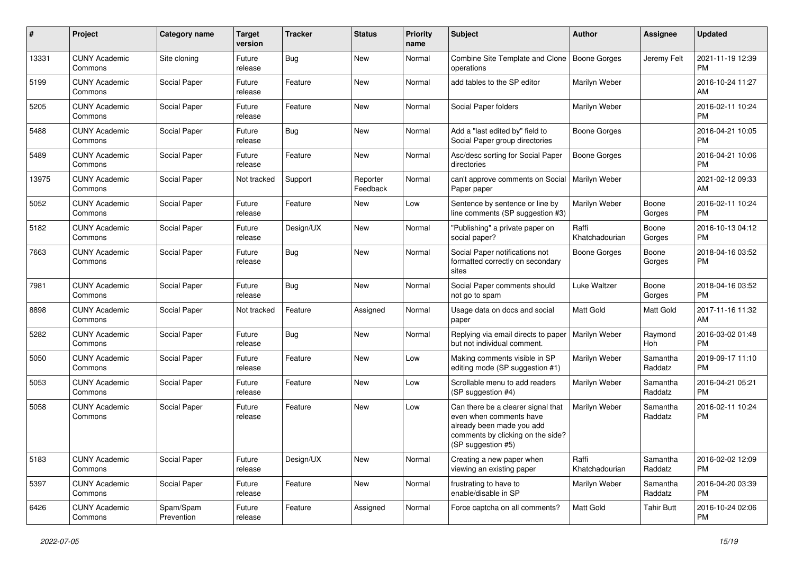| $\#$  | Project                         | <b>Category name</b>    | <b>Target</b><br>version | <b>Tracker</b> | <b>Status</b>        | <b>Priority</b><br>name | <b>Subject</b>                                                                                                                                        | Author                  | <b>Assignee</b>     | <b>Updated</b>                |
|-------|---------------------------------|-------------------------|--------------------------|----------------|----------------------|-------------------------|-------------------------------------------------------------------------------------------------------------------------------------------------------|-------------------------|---------------------|-------------------------------|
| 13331 | <b>CUNY Academic</b><br>Commons | Site cloning            | Future<br>release        | <b>Bug</b>     | New                  | Normal                  | Combine Site Template and Clone<br>operations                                                                                                         | Boone Gorges            | Jeremy Felt         | 2021-11-19 12:39<br>PM        |
| 5199  | <b>CUNY Academic</b><br>Commons | Social Paper            | Future<br>release        | Feature        | New                  | Normal                  | add tables to the SP editor                                                                                                                           | Marilyn Weber           |                     | 2016-10-24 11:27<br>AM        |
| 5205  | <b>CUNY Academic</b><br>Commons | Social Paper            | Future<br>release        | Feature        | New                  | Normal                  | Social Paper folders                                                                                                                                  | Marilyn Weber           |                     | 2016-02-11 10:24<br><b>PM</b> |
| 5488  | <b>CUNY Academic</b><br>Commons | Social Paper            | Future<br>release        | Bug            | New                  | Normal                  | Add a "last edited by" field to<br>Social Paper group directories                                                                                     | Boone Gorges            |                     | 2016-04-21 10:05<br><b>PM</b> |
| 5489  | <b>CUNY Academic</b><br>Commons | Social Paper            | Future<br>release        | Feature        | New                  | Normal                  | Asc/desc sorting for Social Paper<br>directories                                                                                                      | <b>Boone Gorges</b>     |                     | 2016-04-21 10:06<br><b>PM</b> |
| 13975 | <b>CUNY Academic</b><br>Commons | Social Paper            | Not tracked              | Support        | Reporter<br>Feedback | Normal                  | can't approve comments on Social<br>Paper paper                                                                                                       | Marilyn Weber           |                     | 2021-02-12 09:33<br>AM        |
| 5052  | <b>CUNY Academic</b><br>Commons | Social Paper            | Future<br>release        | Feature        | New                  | Low                     | Sentence by sentence or line by<br>line comments (SP suggestion #3)                                                                                   | Marilyn Weber           | Boone<br>Gorges     | 2016-02-11 10:24<br><b>PM</b> |
| 5182  | <b>CUNY Academic</b><br>Commons | Social Paper            | Future<br>release        | Design/UX      | New                  | Normal                  | "Publishing" a private paper on<br>social paper?                                                                                                      | Raffi<br>Khatchadourian | Boone<br>Gorges     | 2016-10-13 04:12<br>PM.       |
| 7663  | <b>CUNY Academic</b><br>Commons | Social Paper            | Future<br>release        | <b>Bug</b>     | New                  | Normal                  | Social Paper notifications not<br>formatted correctly on secondary<br>sites                                                                           | Boone Gorges            | Boone<br>Gorges     | 2018-04-16 03:52<br><b>PM</b> |
| 7981  | <b>CUNY Academic</b><br>Commons | Social Paper            | Future<br>release        | <b>Bug</b>     | New                  | Normal                  | Social Paper comments should<br>not go to spam                                                                                                        | Luke Waltzer            | Boone<br>Gorges     | 2018-04-16 03:52<br><b>PM</b> |
| 8898  | <b>CUNY Academic</b><br>Commons | Social Paper            | Not tracked              | Feature        | Assigned             | Normal                  | Usage data on docs and social<br>paper                                                                                                                | Matt Gold               | Matt Gold           | 2017-11-16 11:32<br>AM        |
| 5282  | <b>CUNY Academic</b><br>Commons | Social Paper            | Future<br>release        | Bug            | New                  | Normal                  | Replying via email directs to paper<br>but not individual comment.                                                                                    | Marilyn Weber           | Raymond<br>Hoh      | 2016-03-02 01:48<br><b>PM</b> |
| 5050  | <b>CUNY Academic</b><br>Commons | Social Paper            | Future<br>release        | Feature        | New                  | Low                     | Making comments visible in SP<br>editing mode (SP suggestion #1)                                                                                      | Marilyn Weber           | Samantha<br>Raddatz | 2019-09-17 11:10<br><b>PM</b> |
| 5053  | <b>CUNY Academic</b><br>Commons | Social Paper            | Future<br>release        | Feature        | New                  | Low                     | Scrollable menu to add readers<br>(SP suggestion #4)                                                                                                  | Marilyn Weber           | Samantha<br>Raddatz | 2016-04-21 05:21<br><b>PM</b> |
| 5058  | <b>CUNY Academic</b><br>Commons | Social Paper            | Future<br>release        | Feature        | New                  | Low                     | Can there be a clearer signal that<br>even when comments have<br>already been made you add<br>comments by clicking on the side?<br>(SP suggestion #5) | Marilyn Weber           | Samantha<br>Raddatz | 2016-02-11 10:24<br><b>PM</b> |
| 5183  | <b>CUNY Academic</b><br>Commons | Social Paper            | Future<br>release        | Design/UX      | New                  | Normal                  | Creating a new paper when<br>viewing an existing paper                                                                                                | Raffi<br>Khatchadourian | Samantha<br>Raddatz | 2016-02-02 12:09<br><b>PM</b> |
| 5397  | <b>CUNY Academic</b><br>Commons | Social Paper            | Future<br>release        | Feature        | New                  | Normal                  | frustrating to have to<br>enable/disable in SP                                                                                                        | Marilyn Weber           | Samantha<br>Raddatz | 2016-04-20 03:39<br>PM        |
| 6426  | <b>CUNY Academic</b><br>Commons | Spam/Spam<br>Prevention | Future<br>release        | Feature        | Assigned             | Normal                  | Force captcha on all comments?                                                                                                                        | Matt Gold               | <b>Tahir Butt</b>   | 2016-10-24 02:06<br>PM        |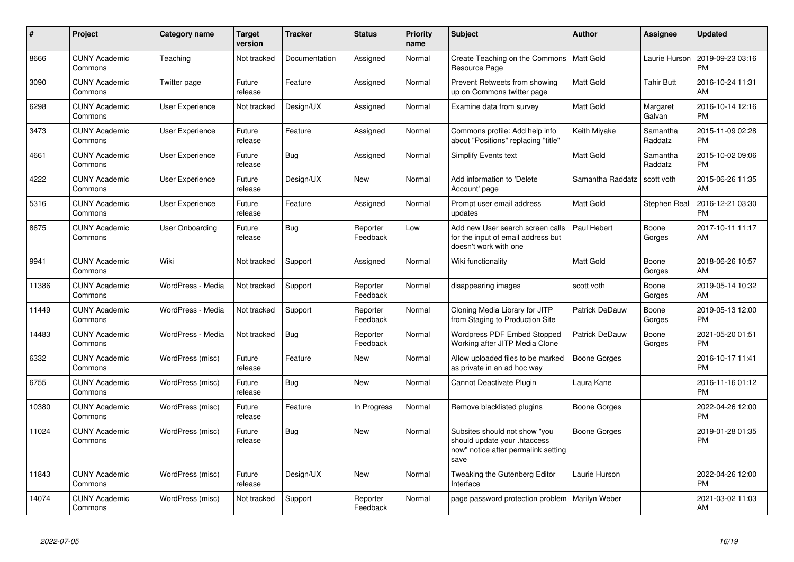| $\pmb{\#}$ | Project                         | <b>Category name</b>   | <b>Target</b><br>version | <b>Tracker</b> | <b>Status</b>        | <b>Priority</b><br>name | <b>Subject</b>                                                                                               | <b>Author</b>       | Assignee            | <b>Updated</b>                |
|------------|---------------------------------|------------------------|--------------------------|----------------|----------------------|-------------------------|--------------------------------------------------------------------------------------------------------------|---------------------|---------------------|-------------------------------|
| 8666       | <b>CUNY Academic</b><br>Commons | Teaching               | Not tracked              | Documentation  | Assigned             | Normal                  | Create Teaching on the Commons<br>Resource Page                                                              | Matt Gold           | Laurie Hurson       | 2019-09-23 03:16<br><b>PM</b> |
| 3090       | <b>CUNY Academic</b><br>Commons | Twitter page           | Future<br>release        | Feature        | Assigned             | Normal                  | Prevent Retweets from showing<br>up on Commons twitter page                                                  | <b>Matt Gold</b>    | <b>Tahir Butt</b>   | 2016-10-24 11:31<br>AM        |
| 6298       | <b>CUNY Academic</b><br>Commons | User Experience        | Not tracked              | Design/UX      | Assigned             | Normal                  | Examine data from survey                                                                                     | Matt Gold           | Margaret<br>Galvan  | 2016-10-14 12:16<br><b>PM</b> |
| 3473       | <b>CUNY Academic</b><br>Commons | <b>User Experience</b> | Future<br>release        | Feature        | Assigned             | Normal                  | Commons profile: Add help info<br>about "Positions" replacing "title"                                        | Keith Miyake        | Samantha<br>Raddatz | 2015-11-09 02:28<br><b>PM</b> |
| 4661       | <b>CUNY Academic</b><br>Commons | <b>User Experience</b> | Future<br>release        | Bug            | Assigned             | Normal                  | Simplify Events text                                                                                         | <b>Matt Gold</b>    | Samantha<br>Raddatz | 2015-10-02 09:06<br><b>PM</b> |
| 4222       | <b>CUNY Academic</b><br>Commons | <b>User Experience</b> | Future<br>release        | Design/UX      | New                  | Normal                  | Add information to 'Delete<br>Account' page                                                                  | Samantha Raddatz    | scott voth          | 2015-06-26 11:35<br>AM        |
| 5316       | <b>CUNY Academic</b><br>Commons | <b>User Experience</b> | Future<br>release        | Feature        | Assigned             | Normal                  | Prompt user email address<br>updates                                                                         | <b>Matt Gold</b>    | Stephen Real        | 2016-12-21 03:30<br><b>PM</b> |
| 8675       | <b>CUNY Academic</b><br>Commons | User Onboarding        | Future<br>release        | Bug            | Reporter<br>Feedback | Low                     | Add new User search screen calls<br>for the input of email address but<br>doesn't work with one              | Paul Hebert         | Boone<br>Gorges     | 2017-10-11 11:17<br>AM        |
| 9941       | <b>CUNY Academic</b><br>Commons | Wiki                   | Not tracked              | Support        | Assigned             | Normal                  | Wiki functionality                                                                                           | Matt Gold           | Boone<br>Gorges     | 2018-06-26 10:57<br>AM        |
| 11386      | <b>CUNY Academic</b><br>Commons | WordPress - Media      | Not tracked              | Support        | Reporter<br>Feedback | Normal                  | disappearing images                                                                                          | scott voth          | Boone<br>Gorges     | 2019-05-14 10:32<br>AM        |
| 11449      | <b>CUNY Academic</b><br>Commons | WordPress - Media      | Not tracked              | Support        | Reporter<br>Feedback | Normal                  | Cloning Media Library for JITP<br>from Staging to Production Site                                            | Patrick DeDauw      | Boone<br>Gorges     | 2019-05-13 12:00<br><b>PM</b> |
| 14483      | <b>CUNY Academic</b><br>Commons | WordPress - Media      | Not tracked              | Bug            | Reporter<br>Feedback | Normal                  | <b>Wordpress PDF Embed Stopped</b><br>Working after JITP Media Clone                                         | Patrick DeDauw      | Boone<br>Gorges     | 2021-05-20 01:51<br><b>PM</b> |
| 6332       | <b>CUNY Academic</b><br>Commons | WordPress (misc)       | Future<br>release        | Feature        | <b>New</b>           | Normal                  | Allow uploaded files to be marked<br>as private in an ad hoc way                                             | <b>Boone Gorges</b> |                     | 2016-10-17 11:41<br><b>PM</b> |
| 6755       | <b>CUNY Academic</b><br>Commons | WordPress (misc)       | Future<br>release        | Bug            | <b>New</b>           | Normal                  | Cannot Deactivate Plugin                                                                                     | Laura Kane          |                     | 2016-11-16 01:12<br><b>PM</b> |
| 10380      | <b>CUNY Academic</b><br>Commons | WordPress (misc)       | Future<br>release        | Feature        | In Progress          | Normal                  | Remove blacklisted plugins                                                                                   | Boone Gorges        |                     | 2022-04-26 12:00<br><b>PM</b> |
| 11024      | <b>CUNY Academic</b><br>Commons | WordPress (misc)       | Future<br>release        | Bug            | New                  | Normal                  | Subsites should not show "you<br>should update your .htaccess<br>now" notice after permalink setting<br>save | <b>Boone Gorges</b> |                     | 2019-01-28 01:35<br><b>PM</b> |
| 11843      | <b>CUNY Academic</b><br>Commons | WordPress (misc)       | Future<br>release        | Design/UX      | New                  | Normal                  | <b>Tweaking the Gutenberg Editor</b><br>Interface                                                            | Laurie Hurson       |                     | 2022-04-26 12:00<br><b>PM</b> |
| 14074      | <b>CUNY Academic</b><br>Commons | WordPress (misc)       | Not tracked              | Support        | Reporter<br>Feedback | Normal                  | page password protection problem                                                                             | Marilyn Weber       |                     | 2021-03-02 11:03<br>AM        |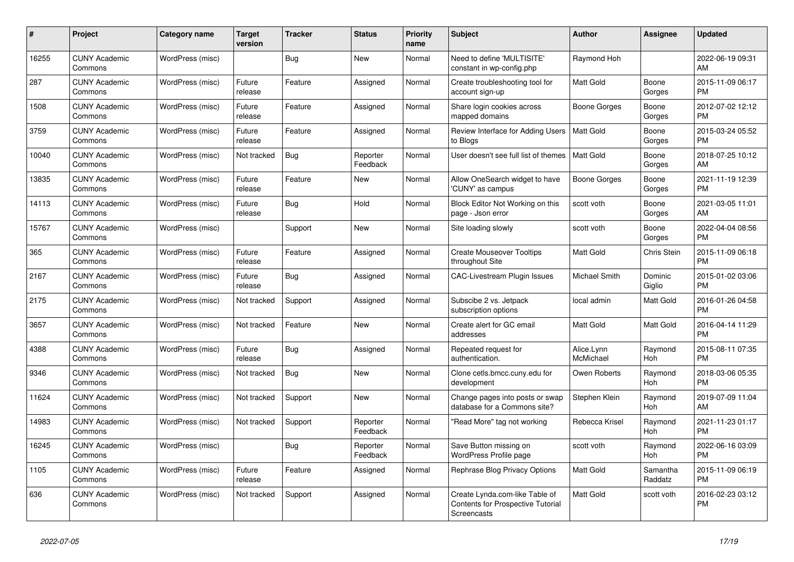| #     | Project                         | <b>Category name</b> | Target<br>version | <b>Tracker</b> | <b>Status</b>        | <b>Priority</b><br>name | <b>Subject</b>                                                                            | <b>Author</b>           | Assignee            | <b>Updated</b>                |
|-------|---------------------------------|----------------------|-------------------|----------------|----------------------|-------------------------|-------------------------------------------------------------------------------------------|-------------------------|---------------------|-------------------------------|
| 16255 | <b>CUNY Academic</b><br>Commons | WordPress (misc)     |                   | Bug            | New                  | Normal                  | Need to define 'MULTISITE'<br>constant in wp-config.php                                   | Raymond Hoh             |                     | 2022-06-19 09:31<br>AM        |
| 287   | <b>CUNY Academic</b><br>Commons | WordPress (misc)     | Future<br>release | Feature        | Assigned             | Normal                  | Create troubleshooting tool for<br>account sign-up                                        | Matt Gold               | Boone<br>Gorges     | 2015-11-09 06:17<br><b>PM</b> |
| 1508  | <b>CUNY Academic</b><br>Commons | WordPress (misc)     | Future<br>release | Feature        | Assigned             | Normal                  | Share login cookies across<br>mapped domains                                              | Boone Gorges            | Boone<br>Gorges     | 2012-07-02 12:12<br><b>PM</b> |
| 3759  | <b>CUNY Academic</b><br>Commons | WordPress (misc)     | Future<br>release | Feature        | Assigned             | Normal                  | Review Interface for Adding Users<br>to Blogs                                             | <b>Matt Gold</b>        | Boone<br>Gorges     | 2015-03-24 05:52<br><b>PM</b> |
| 10040 | <b>CUNY Academic</b><br>Commons | WordPress (misc)     | Not tracked       | Bug            | Reporter<br>Feedback | Normal                  | User doesn't see full list of themes                                                      | Matt Gold               | Boone<br>Gorges     | 2018-07-25 10:12<br>AM        |
| 13835 | <b>CUNY Academic</b><br>Commons | WordPress (misc)     | Future<br>release | Feature        | New                  | Normal                  | Allow OneSearch widget to have<br>'CUNY' as campus                                        | <b>Boone Gorges</b>     | Boone<br>Gorges     | 2021-11-19 12:39<br><b>PM</b> |
| 14113 | <b>CUNY Academic</b><br>Commons | WordPress (misc)     | Future<br>release | Bug            | Hold                 | Normal                  | Block Editor Not Working on this<br>page - Json error                                     | scott voth              | Boone<br>Gorges     | 2021-03-05 11:01<br>AM        |
| 15767 | <b>CUNY Academic</b><br>Commons | WordPress (misc)     |                   | Support        | <b>New</b>           | Normal                  | Site loading slowly                                                                       | scott voth              | Boone<br>Gorges     | 2022-04-04 08:56<br><b>PM</b> |
| 365   | <b>CUNY Academic</b><br>Commons | WordPress (misc)     | Future<br>release | Feature        | Assigned             | Normal                  | <b>Create Mouseover Tooltips</b><br>throughout Site                                       | Matt Gold               | <b>Chris Stein</b>  | 2015-11-09 06:18<br><b>PM</b> |
| 2167  | <b>CUNY Academic</b><br>Commons | WordPress (misc)     | Future<br>release | <b>Bug</b>     | Assigned             | Normal                  | <b>CAC-Livestream Plugin Issues</b>                                                       | Michael Smith           | Dominic<br>Giglio   | 2015-01-02 03:06<br><b>PM</b> |
| 2175  | <b>CUNY Academic</b><br>Commons | WordPress (misc)     | Not tracked       | Support        | Assigned             | Normal                  | Subscibe 2 vs. Jetpack<br>subscription options                                            | local admin             | Matt Gold           | 2016-01-26 04:58<br><b>PM</b> |
| 3657  | <b>CUNY Academic</b><br>Commons | WordPress (misc)     | Not tracked       | Feature        | New                  | Normal                  | Create alert for GC email<br>addresses                                                    | <b>Matt Gold</b>        | Matt Gold           | 2016-04-14 11:29<br><b>PM</b> |
| 4388  | <b>CUNY Academic</b><br>Commons | WordPress (misc)     | Future<br>release | <b>Bug</b>     | Assigned             | Normal                  | Repeated request for<br>authentication.                                                   | Alice.Lynn<br>McMichael | Raymond<br>Hoh      | 2015-08-11 07:35<br><b>PM</b> |
| 9346  | <b>CUNY Academic</b><br>Commons | WordPress (misc)     | Not tracked       | Bug            | New                  | Normal                  | Clone cetls.bmcc.cuny.edu for<br>development                                              | Owen Roberts            | Raymond<br>Hoh      | 2018-03-06 05:35<br><b>PM</b> |
| 11624 | <b>CUNY Academic</b><br>Commons | WordPress (misc)     | Not tracked       | Support        | <b>New</b>           | Normal                  | Change pages into posts or swap<br>database for a Commons site?                           | Stephen Klein           | Raymond<br>Hoh      | 2019-07-09 11:04<br>AM        |
| 14983 | <b>CUNY Academic</b><br>Commons | WordPress (misc)     | Not tracked       | Support        | Reporter<br>Feedback | Normal                  | "Read More" tag not working                                                               | Rebecca Krisel          | Raymond<br>Hoh      | 2021-11-23 01:17<br><b>PM</b> |
| 16245 | <b>CUNY Academic</b><br>Commons | WordPress (misc)     |                   | Bug            | Reporter<br>Feedback | Normal                  | Save Button missing on<br>WordPress Profile page                                          | scott voth              | Raymond<br>Hoh      | 2022-06-16 03:09<br><b>PM</b> |
| 1105  | <b>CUNY Academic</b><br>Commons | WordPress (misc)     | Future<br>release | Feature        | Assigned             | Normal                  | Rephrase Blog Privacy Options                                                             | Matt Gold               | Samantha<br>Raddatz | 2015-11-09 06:19<br><b>PM</b> |
| 636   | <b>CUNY Academic</b><br>Commons | WordPress (misc)     | Not tracked       | Support        | Assigned             | Normal                  | Create Lynda.com-like Table of<br><b>Contents for Prospective Tutorial</b><br>Screencasts | Matt Gold               | scott voth          | 2016-02-23 03:12<br><b>PM</b> |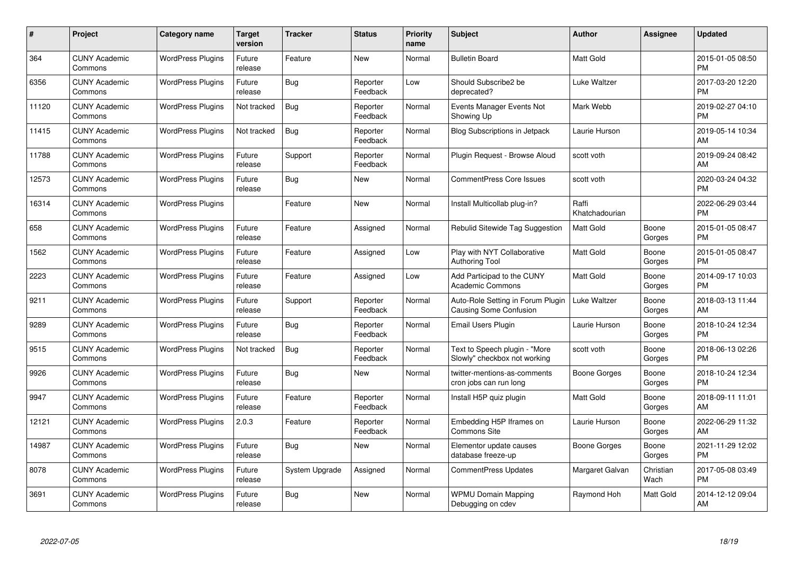| #     | Project                         | <b>Category name</b>     | <b>Target</b><br>version | <b>Tracker</b> | <b>Status</b>        | <b>Priority</b><br>name | <b>Subject</b>                                                     | <b>Author</b>           | <b>Assignee</b>   | <b>Updated</b>                |
|-------|---------------------------------|--------------------------|--------------------------|----------------|----------------------|-------------------------|--------------------------------------------------------------------|-------------------------|-------------------|-------------------------------|
| 364   | <b>CUNY Academic</b><br>Commons | <b>WordPress Plugins</b> | Future<br>release        | Feature        | New                  | Normal                  | <b>Bulletin Board</b>                                              | Matt Gold               |                   | 2015-01-05 08:50<br><b>PM</b> |
| 6356  | <b>CUNY Academic</b><br>Commons | <b>WordPress Plugins</b> | Future<br>release        | <b>Bug</b>     | Reporter<br>Feedback | Low                     | Should Subscribe2 be<br>deprecated?                                | Luke Waltzer            |                   | 2017-03-20 12:20<br><b>PM</b> |
| 11120 | <b>CUNY Academic</b><br>Commons | <b>WordPress Plugins</b> | Not tracked              | Bug            | Reporter<br>Feedback | Normal                  | Events Manager Events Not<br>Showing Up                            | Mark Webb               |                   | 2019-02-27 04:10<br><b>PM</b> |
| 11415 | <b>CUNY Academic</b><br>Commons | <b>WordPress Plugins</b> | Not tracked              | <b>Bug</b>     | Reporter<br>Feedback | Normal                  | Blog Subscriptions in Jetpack                                      | Laurie Hurson           |                   | 2019-05-14 10:34<br>AM        |
| 11788 | <b>CUNY Academic</b><br>Commons | <b>WordPress Plugins</b> | Future<br>release        | Support        | Reporter<br>Feedback | Normal                  | Plugin Request - Browse Aloud                                      | scott voth              |                   | 2019-09-24 08:42<br>AM        |
| 12573 | <b>CUNY Academic</b><br>Commons | <b>WordPress Plugins</b> | Future<br>release        | Bug            | New                  | Normal                  | <b>CommentPress Core Issues</b>                                    | scott voth              |                   | 2020-03-24 04:32<br><b>PM</b> |
| 16314 | <b>CUNY Academic</b><br>Commons | <b>WordPress Plugins</b> |                          | Feature        | New                  | Normal                  | Install Multicollab plug-in?                                       | Raffi<br>Khatchadourian |                   | 2022-06-29 03:44<br><b>PM</b> |
| 658   | <b>CUNY Academic</b><br>Commons | <b>WordPress Plugins</b> | Future<br>release        | Feature        | Assigned             | Normal                  | Rebulid Sitewide Tag Suggestion                                    | <b>Matt Gold</b>        | Boone<br>Gorges   | 2015-01-05 08:47<br><b>PM</b> |
| 1562  | <b>CUNY Academic</b><br>Commons | <b>WordPress Plugins</b> | Future<br>release        | Feature        | Assigned             | Low                     | Play with NYT Collaborative<br><b>Authoring Tool</b>               | Matt Gold               | Boone<br>Gorges   | 2015-01-05 08:47<br><b>PM</b> |
| 2223  | <b>CUNY Academic</b><br>Commons | <b>WordPress Plugins</b> | Future<br>release        | Feature        | Assigned             | Low                     | Add Participad to the CUNY<br><b>Academic Commons</b>              | Matt Gold               | Boone<br>Gorges   | 2014-09-17 10:03<br><b>PM</b> |
| 9211  | <b>CUNY Academic</b><br>Commons | <b>WordPress Plugins</b> | Future<br>release        | Support        | Reporter<br>Feedback | Normal                  | Auto-Role Setting in Forum Plugin<br><b>Causing Some Confusion</b> | Luke Waltzer            | Boone<br>Gorges   | 2018-03-13 11:44<br>AM        |
| 9289  | <b>CUNY Academic</b><br>Commons | <b>WordPress Plugins</b> | Future<br>release        | <b>Bug</b>     | Reporter<br>Feedback | Normal                  | Email Users Plugin                                                 | Laurie Hurson           | Boone<br>Gorges   | 2018-10-24 12:34<br><b>PM</b> |
| 9515  | <b>CUNY Academic</b><br>Commons | <b>WordPress Plugins</b> | Not tracked              | <b>Bug</b>     | Reporter<br>Feedback | Normal                  | Text to Speech plugin - "More<br>Slowly" checkbox not working      | scott voth              | Boone<br>Gorges   | 2018-06-13 02:26<br><b>PM</b> |
| 9926  | <b>CUNY Academic</b><br>Commons | <b>WordPress Plugins</b> | Future<br>release        | <b>Bug</b>     | New                  | Normal                  | twitter-mentions-as-comments<br>cron jobs can run long             | Boone Gorges            | Boone<br>Gorges   | 2018-10-24 12:34<br><b>PM</b> |
| 9947  | <b>CUNY Academic</b><br>Commons | <b>WordPress Plugins</b> | Future<br>release        | Feature        | Reporter<br>Feedback | Normal                  | Install H5P quiz plugin                                            | <b>Matt Gold</b>        | Boone<br>Gorges   | 2018-09-11 11:01<br>AM        |
| 12121 | <b>CUNY Academic</b><br>Commons | <b>WordPress Plugins</b> | 2.0.3                    | Feature        | Reporter<br>Feedback | Normal                  | Embedding H5P Iframes on<br><b>Commons Site</b>                    | Laurie Hurson           | Boone<br>Gorges   | 2022-06-29 11:32<br>AM        |
| 14987 | <b>CUNY Academic</b><br>Commons | <b>WordPress Plugins</b> | Future<br>release        | Bug            | New                  | Normal                  | Elementor update causes<br>database freeze-up                      | Boone Gorges            | Boone<br>Gorges   | 2021-11-29 12:02<br><b>PM</b> |
| 8078  | <b>CUNY Academic</b><br>Commons | <b>WordPress Plugins</b> | Future<br>release        | System Upgrade | Assigned             | Normal                  | <b>CommentPress Updates</b>                                        | Margaret Galvan         | Christian<br>Wach | 2017-05-08 03:49<br><b>PM</b> |
| 3691  | <b>CUNY Academic</b><br>Commons | <b>WordPress Plugins</b> | Future<br>release        | <b>Bug</b>     | <b>New</b>           | Normal                  | <b>WPMU Domain Mapping</b><br>Debugging on cdev                    | Raymond Hoh             | Matt Gold         | 2014-12-12 09:04<br>AM        |